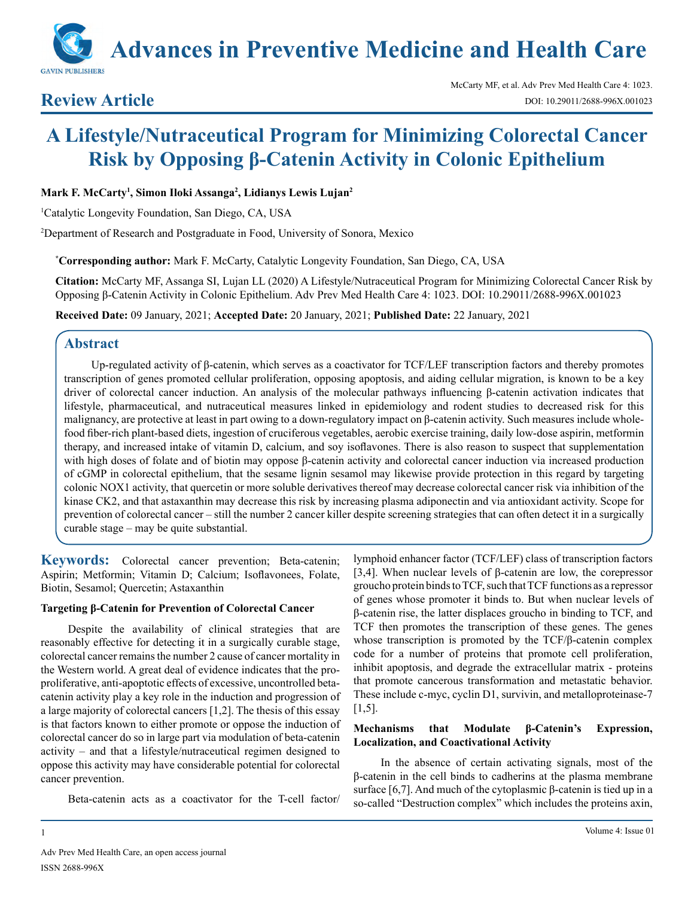

# **Review Article**

# **A Lifestyle/Nutraceutical Program for Minimizing Colorectal Cancer Risk by Opposing β-Catenin Activity in Colonic Epithelium**

**Mark F. McCarty1 , Simon Iloki Assanga2 , Lidianys Lewis Lujan2**

1 Catalytic Longevity Foundation, San Diego, CA, USA

2 Department of Research and Postgraduate in Food, University of Sonora, Mexico

**\* Corresponding author:** Mark F. McCarty, Catalytic Longevity Foundation, San Diego, CA, USA

**Citation:** McCarty MF, Assanga SI, Lujan LL (2020) A Lifestyle/Nutraceutical Program for Minimizing Colorectal Cancer Risk by Opposing β-Catenin Activity in Colonic Epithelium. Adv Prev Med Health Care 4: 1023. DOI: 10.29011/2688-996X.001023

**Received Date:** 09 January, 2021; **Accepted Date:** 20 January, 2021; **Published Date:** 22 January, 2021

## **Abstract**

Up-regulated activity of β-catenin, which serves as a coactivator for TCF/LEF transcription factors and thereby promotes transcription of genes promoted cellular proliferation, opposing apoptosis, and aiding cellular migration, is known to be a key driver of colorectal cancer induction. An analysis of the molecular pathways influencing β-catenin activation indicates that lifestyle, pharmaceutical, and nutraceutical measures linked in epidemiology and rodent studies to decreased risk for this malignancy, are protective at least in part owing to a down-regulatory impact on β-catenin activity. Such measures include wholefood fiber-rich plant-based diets, ingestion of cruciferous vegetables, aerobic exercise training, daily low-dose aspirin, metformin therapy, and increased intake of vitamin D, calcium, and soy isoflavones. There is also reason to suspect that supplementation with high doses of folate and of biotin may oppose β-catenin activity and colorectal cancer induction via increased production of cGMP in colorectal epithelium, that the sesame lignin sesamol may likewise provide protection in this regard by targeting colonic NOX1 activity, that quercetin or more soluble derivatives thereof may decrease colorectal cancer risk via inhibition of the kinase CK2, and that astaxanthin may decrease this risk by increasing plasma adiponectin and via antioxidant activity. Scope for prevention of colorectal cancer – still the number 2 cancer killer despite screening strategies that can often detect it in a surgically curable stage – may be quite substantial.

**Keywords:** Colorectal cancer prevention; Beta-catenin; Aspirin; Metformin; Vitamin D; Calcium; Isoflavonees, Folate, Biotin, Sesamol; Quercetin; Astaxanthin

#### **Targeting β-Catenin for Prevention of Colorectal Cancer**

Despite the availability of clinical strategies that are reasonably effective for detecting it in a surgically curable stage, colorectal cancer remains the number 2 cause of cancer mortality in the Western world. A great deal of evidence indicates that the proproliferative, anti-apoptotic effects of excessive, uncontrolled betacatenin activity play a key role in the induction and progression of a large majority of colorectal cancers [1,2]. The thesis of this essay is that factors known to either promote or oppose the induction of colorectal cancer do so in large part via modulation of beta-catenin activity – and that a lifestyle/nutraceutical regimen designed to oppose this activity may have considerable potential for colorectal cancer prevention.

Beta-catenin acts as a coactivator for the T-cell factor/

lymphoid enhancer factor (TCF/LEF) class of transcription factors [3,4]. When nuclear levels of β-catenin are low, the corepressor groucho protein binds to TCF, such that TCF functions as a repressor of genes whose promoter it binds to. But when nuclear levels of β-catenin rise, the latter displaces groucho in binding to TCF, and TCF then promotes the transcription of these genes. The genes whose transcription is promoted by the TCF/β-catenin complex code for a number of proteins that promote cell proliferation, inhibit apoptosis, and degrade the extracellular matrix - proteins that promote cancerous transformation and metastatic behavior. These include c-myc, cyclin D1, survivin, and metalloproteinase-7 [1,5].

#### **Mechanisms that Modulate β-Catenin's Expression, Localization, and Coactivational Activity**

In the absence of certain activating signals, most of the β-catenin in the cell binds to cadherins at the plasma membrane surface [6,7]. And much of the cytoplasmic β-catenin is tied up in a so-called "Destruction complex" which includes the proteins axin,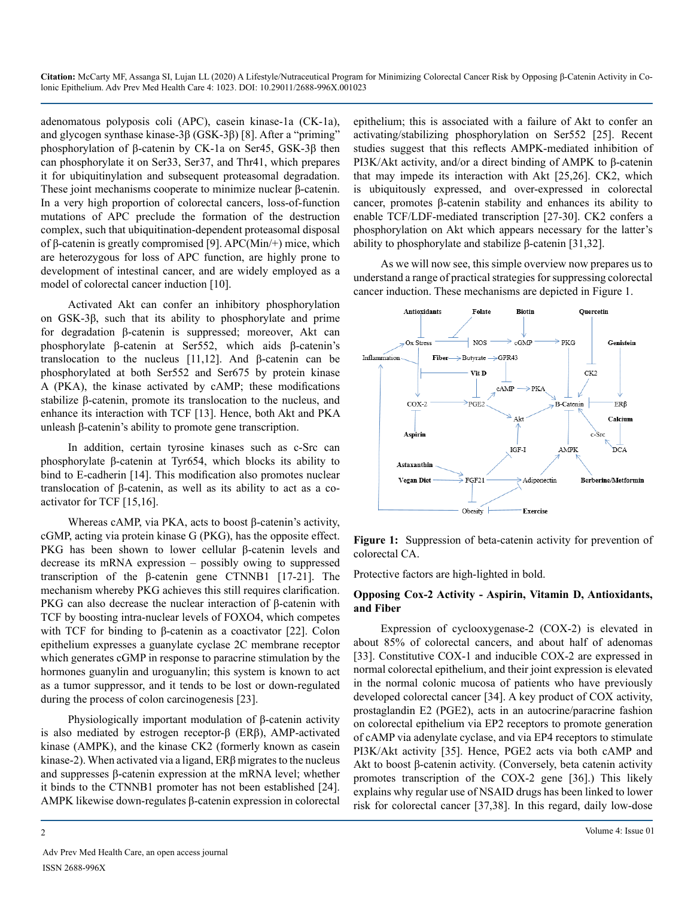adenomatous polyposis coli (APC), casein kinase-1a (CK-1a), and glycogen synthase kinase-3β (GSK-3β) [8]. After a "priming" phosphorylation of β-catenin by CK-1a on Ser45, GSK-3β then can phosphorylate it on Ser33, Ser37, and Thr41, which prepares it for ubiquitinylation and subsequent proteasomal degradation. These joint mechanisms cooperate to minimize nuclear β-catenin. In a very high proportion of colorectal cancers, loss-of-function mutations of APC preclude the formation of the destruction complex, such that ubiquitination-dependent proteasomal disposal of β-catenin is greatly compromised [9]. APC(Min/+) mice, which are heterozygous for loss of APC function, are highly prone to development of intestinal cancer, and are widely employed as a model of colorectal cancer induction [10].

Activated Akt can confer an inhibitory phosphorylation on GSK-3β, such that its ability to phosphorylate and prime for degradation β-catenin is suppressed; moreover, Akt can phosphorylate β-catenin at Ser552, which aids β-catenin's translocation to the nucleus [11,12]. And β-catenin can be phosphorylated at both Ser552 and Ser675 by protein kinase A (PKA), the kinase activated by cAMP; these modifications stabilize β-catenin, promote its translocation to the nucleus, and enhance its interaction with TCF [13]. Hence, both Akt and PKA unleash β-catenin's ability to promote gene transcription.

In addition, certain tyrosine kinases such as c-Src can phosphorylate β-catenin at Tyr654, which blocks its ability to bind to E-cadherin [14]. This modification also promotes nuclear translocation of β-catenin, as well as its ability to act as a coactivator for TCF [15,16].

Whereas cAMP, via PKA, acts to boost β-catenin's activity, cGMP, acting via protein kinase G (PKG), has the opposite effect. PKG has been shown to lower cellular β-catenin levels and decrease its mRNA expression – possibly owing to suppressed transcription of the β-catenin gene CTNNB1 [17-21]. The mechanism whereby PKG achieves this still requires clarification. PKG can also decrease the nuclear interaction of β-catenin with TCF by boosting intra-nuclear levels of FOXO4, which competes with TCF for binding to β-catenin as a coactivator [22]. Colon epithelium expresses a guanylate cyclase 2C membrane receptor which generates cGMP in response to paracrine stimulation by the hormones guanylin and uroguanylin; this system is known to act as a tumor suppressor, and it tends to be lost or down-regulated during the process of colon carcinogenesis [23].

Physiologically important modulation of β-catenin activity is also mediated by estrogen receptor-β (ERβ), AMP-activated kinase (AMPK), and the kinase CK2 (formerly known as casein kinase-2). When activated via a ligand, ERβ migrates to the nucleus and suppresses β-catenin expression at the mRNA level; whether it binds to the CTNNB1 promoter has not been established [24]. AMPK likewise down-regulates β-catenin expression in colorectal

Adv Prev Med Health Care, an open access journal ISSN 2688-996X

epithelium; this is associated with a failure of Akt to confer an activating/stabilizing phosphorylation on Ser552 [25]. Recent studies suggest that this reflects AMPK-mediated inhibition of PI3K/Akt activity, and/or a direct binding of AMPK to β-catenin that may impede its interaction with Akt [25,26]. CK2, which is ubiquitously expressed, and over-expressed in colorectal cancer, promotes β-catenin stability and enhances its ability to enable TCF/LDF-mediated transcription [27-30]. CK2 confers a phosphorylation on Akt which appears necessary for the latter's ability to phosphorylate and stabilize β-catenin [31,32].

As we will now see, this simple overview now prepares us to understand a range of practical strategies for suppressing colorectal cancer induction. These mechanisms are depicted in Figure 1.



**Figure 1:** Suppression of beta-catenin activity for prevention of colorectal CA.

Protective factors are high-lighted in bold.

#### **Opposing Cox-2 Activity - Aspirin, Vitamin D, Antioxidants, and Fiber**

Expression of cyclooxygenase-2 (COX-2) is elevated in about 85% of colorectal cancers, and about half of adenomas [33]. Constitutive COX-1 and inducible COX-2 are expressed in normal colorectal epithelium, and their joint expression is elevated in the normal colonic mucosa of patients who have previously developed colorectal cancer [34]. A key product of COX activity, prostaglandin E2 (PGE2), acts in an autocrine/paracrine fashion on colorectal epithelium via EP2 receptors to promote generation of cAMP via adenylate cyclase, and via EP4 receptors to stimulate PI3K/Akt activity [35]. Hence, PGE2 acts via both cAMP and Akt to boost β-catenin activity. (Conversely, beta catenin activity promotes transcription of the COX-2 gene [36].) This likely explains why regular use of NSAID drugs has been linked to lower risk for colorectal cancer [37,38]. In this regard, daily low-dose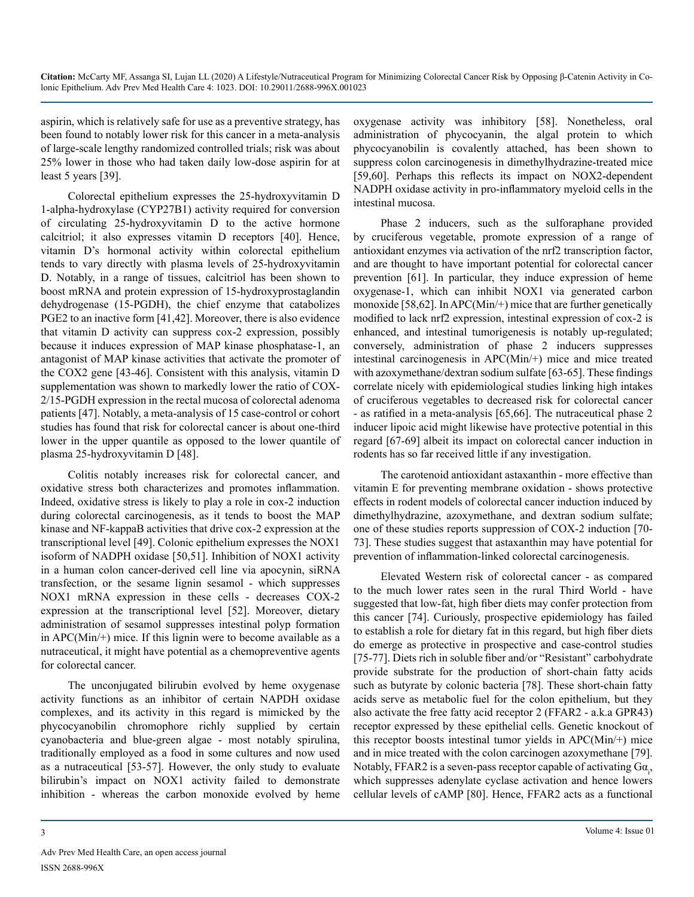aspirin, which is relatively safe for use as a preventive strategy, has been found to notably lower risk for this cancer in a meta-analysis of large-scale lengthy randomized controlled trials; risk was about 25% lower in those who had taken daily low-dose aspirin for at least 5 years [39].

Colorectal epithelium expresses the 25-hydroxyvitamin D 1-alpha-hydroxylase (CYP27B1) activity required for conversion of circulating 25-hydroxyvitamin D to the active hormone calcitriol; it also expresses vitamin D receptors [40]. Hence, vitamin D's hormonal activity within colorectal epithelium tends to vary directly with plasma levels of 25-hydroxyvitamin D. Notably, in a range of tissues, calcitriol has been shown to boost mRNA and protein expression of 15-hydroxyprostaglandin dehydrogenase (15-PGDH), the chief enzyme that catabolizes PGE2 to an inactive form [41,42]. Moreover, there is also evidence that vitamin D activity can suppress cox-2 expression, possibly because it induces expression of MAP kinase phosphatase-1, an antagonist of MAP kinase activities that activate the promoter of the COX2 gene [43-46]. Consistent with this analysis, vitamin D supplementation was shown to markedly lower the ratio of COX-2/15-PGDH expression in the rectal mucosa of colorectal adenoma patients [47]. Notably, a meta-analysis of 15 case-control or cohort studies has found that risk for colorectal cancer is about one-third lower in the upper quantile as opposed to the lower quantile of plasma 25-hydroxyvitamin D [48].

Colitis notably increases risk for colorectal cancer, and oxidative stress both characterizes and promotes inflammation. Indeed, oxidative stress is likely to play a role in cox-2 induction during colorectal carcinogenesis, as it tends to boost the MAP kinase and NF-kappaB activities that drive cox-2 expression at the transcriptional level [49]. Colonic epithelium expresses the NOX1 isoform of NADPH oxidase [50,51]. Inhibition of NOX1 activity in a human colon cancer-derived cell line via apocynin, siRNA transfection, or the sesame lignin sesamol - which suppresses NOX1 mRNA expression in these cells - decreases COX-2 expression at the transcriptional level [52]. Moreover, dietary administration of sesamol suppresses intestinal polyp formation in APC(Min/+) mice. If this lignin were to become available as a nutraceutical, it might have potential as a chemopreventive agents for colorectal cancer.

The unconjugated bilirubin evolved by heme oxygenase activity functions as an inhibitor of certain NAPDH oxidase complexes, and its activity in this regard is mimicked by the phycocyanobilin chromophore richly supplied by certain cyanobacteria and blue-green algae - most notably spirulina, traditionally employed as a food in some cultures and now used as a nutraceutical [53-57]. However, the only study to evaluate bilirubin's impact on NOX1 activity failed to demonstrate inhibition - whereas the carbon monoxide evolved by heme

oxygenase activity was inhibitory [58]. Nonetheless, oral administration of phycocyanin, the algal protein to which phycocyanobilin is covalently attached, has been shown to suppress colon carcinogenesis in dimethylhydrazine-treated mice [59,60]. Perhaps this reflects its impact on NOX2-dependent NADPH oxidase activity in pro-inflammatory myeloid cells in the intestinal mucosa.

Phase 2 inducers, such as the sulforaphane provided by cruciferous vegetable, promote expression of a range of antioxidant enzymes via activation of the nrf2 transcription factor, and are thought to have important potential for colorectal cancer prevention [61]. In particular, they induce expression of heme oxygenase-1, which can inhibit NOX1 via generated carbon monoxide [58,62]. In APC(Min/+) mice that are further genetically modified to lack nrf2 expression, intestinal expression of cox-2 is enhanced, and intestinal tumorigenesis is notably up-regulated; conversely, administration of phase 2 inducers suppresses intestinal carcinogenesis in APC(Min/+) mice and mice treated with azoxymethane/dextran sodium sulfate [63-65]. These findings correlate nicely with epidemiological studies linking high intakes of cruciferous vegetables to decreased risk for colorectal cancer - as ratified in a meta-analysis [65,66]. The nutraceutical phase 2 inducer lipoic acid might likewise have protective potential in this regard [67-69] albeit its impact on colorectal cancer induction in rodents has so far received little if any investigation.

The carotenoid antioxidant astaxanthin - more effective than vitamin E for preventing membrane oxidation - shows protective effects in rodent models of colorectal cancer induction induced by dimethylhydrazine, azoxymethane, and dextran sodium sulfate; one of these studies reports suppression of COX-2 induction [70- 73]. These studies suggest that astaxanthin may have potential for prevention of inflammation-linked colorectal carcinogenesis.

Elevated Western risk of colorectal cancer - as compared to the much lower rates seen in the rural Third World - have suggested that low-fat, high fiber diets may confer protection from this cancer [74]. Curiously, prospective epidemiology has failed to establish a role for dietary fat in this regard, but high fiber diets do emerge as protective in prospective and case-control studies [75-77]. Diets rich in soluble fiber and/or "Resistant" carbohydrate provide substrate for the production of short-chain fatty acids such as butyrate by colonic bacteria [78]. These short-chain fatty acids serve as metabolic fuel for the colon epithelium, but they also activate the free fatty acid receptor 2 (FFAR2 - a.k.a GPR43) receptor expressed by these epithelial cells. Genetic knockout of this receptor boosts intestinal tumor yields in APC(Min/+) mice and in mice treated with the colon carcinogen azoxymethane [79]. Notably, FFAR2 is a seven-pass receptor capable of activating  $Ga_{i}$ , which suppresses adenylate cyclase activation and hence lowers cellular levels of cAMP [80]. Hence, FFAR2 acts as a functional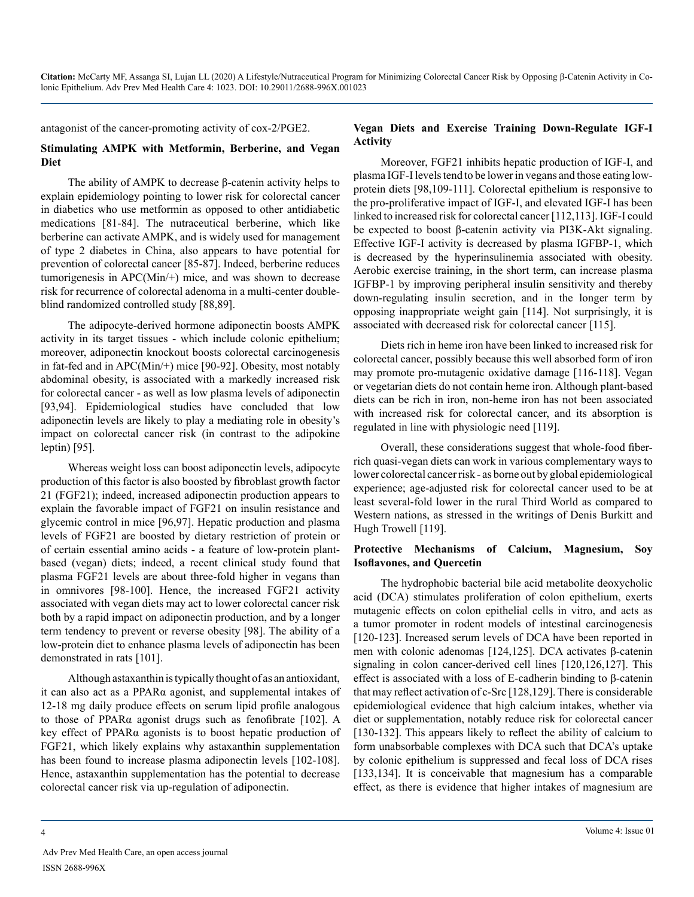antagonist of the cancer-promoting activity of cox-2/PGE2.

#### **Stimulating AMPK with Metformin, Berberine, and Vegan Diet**

The ability of AMPK to decrease β-catenin activity helps to explain epidemiology pointing to lower risk for colorectal cancer in diabetics who use metformin as opposed to other antidiabetic medications [81-84]. The nutraceutical berberine, which like berberine can activate AMPK, and is widely used for management of type 2 diabetes in China, also appears to have potential for prevention of colorectal cancer [85-87]. Indeed, berberine reduces tumorigenesis in APC(Min/+) mice, and was shown to decrease risk for recurrence of colorectal adenoma in a multi-center doubleblind randomized controlled study [88,89].

The adipocyte-derived hormone adiponectin boosts AMPK activity in its target tissues - which include colonic epithelium; moreover, adiponectin knockout boosts colorectal carcinogenesis in fat-fed and in APC(Min/+) mice [90-92]. Obesity, most notably abdominal obesity, is associated with a markedly increased risk for colorectal cancer - as well as low plasma levels of adiponectin [93,94]. Epidemiological studies have concluded that low adiponectin levels are likely to play a mediating role in obesity's impact on colorectal cancer risk (in contrast to the adipokine leptin) [95].

Whereas weight loss can boost adiponectin levels, adipocyte production of this factor is also boosted by fibroblast growth factor 21 (FGF21); indeed, increased adiponectin production appears to explain the favorable impact of FGF21 on insulin resistance and glycemic control in mice [96,97]. Hepatic production and plasma levels of FGF21 are boosted by dietary restriction of protein or of certain essential amino acids - a feature of low-protein plantbased (vegan) diets; indeed, a recent clinical study found that plasma FGF21 levels are about three-fold higher in vegans than in omnivores [98-100]. Hence, the increased FGF21 activity associated with vegan diets may act to lower colorectal cancer risk both by a rapid impact on adiponectin production, and by a longer term tendency to prevent or reverse obesity [98]. The ability of a low-protein diet to enhance plasma levels of adiponectin has been demonstrated in rats [101].

Although astaxanthin is typically thought of as an antioxidant, it can also act as a PPARα agonist, and supplemental intakes of 12-18 mg daily produce effects on serum lipid profile analogous to those of PPARα agonist drugs such as fenofibrate [102]. A key effect of PPARα agonists is to boost hepatic production of FGF21, which likely explains why astaxanthin supplementation has been found to increase plasma adiponectin levels [102-108]. Hence, astaxanthin supplementation has the potential to decrease colorectal cancer risk via up-regulation of adiponectin.

#### **Vegan Diets and Exercise Training Down-Regulate IGF-I Activity**

Moreover, FGF21 inhibits hepatic production of IGF-I, and plasma IGF-I levels tend to be lower in vegans and those eating lowprotein diets [98,109-111]. Colorectal epithelium is responsive to the pro-proliferative impact of IGF-I, and elevated IGF-I has been linked to increased risk for colorectal cancer [112,113]. IGF-I could be expected to boost β-catenin activity via PI3K-Akt signaling. Effective IGF-I activity is decreased by plasma IGFBP-1, which is decreased by the hyperinsulinemia associated with obesity. Aerobic exercise training, in the short term, can increase plasma IGFBP-1 by improving peripheral insulin sensitivity and thereby down-regulating insulin secretion, and in the longer term by opposing inappropriate weight gain [114]. Not surprisingly, it is associated with decreased risk for colorectal cancer [115].

Diets rich in heme iron have been linked to increased risk for colorectal cancer, possibly because this well absorbed form of iron may promote pro-mutagenic oxidative damage [116-118]. Vegan or vegetarian diets do not contain heme iron. Although plant-based diets can be rich in iron, non-heme iron has not been associated with increased risk for colorectal cancer, and its absorption is regulated in line with physiologic need [119].

Overall, these considerations suggest that whole-food fiberrich quasi-vegan diets can work in various complementary ways to lower colorectal cancer risk - as borne out by global epidemiological experience; age-adjusted risk for colorectal cancer used to be at least several-fold lower in the rural Third World as compared to Western nations, as stressed in the writings of Denis Burkitt and Hugh Trowell [119].

#### **Protective Mechanisms of Calcium, Magnesium, Soy Isoflavones, and Quercetin**

The hydrophobic bacterial bile acid metabolite deoxycholic acid (DCA) stimulates proliferation of colon epithelium, exerts mutagenic effects on colon epithelial cells in vitro, and acts as a tumor promoter in rodent models of intestinal carcinogenesis [120-123]. Increased serum levels of DCA have been reported in men with colonic adenomas [124,125]. DCA activates β-catenin signaling in colon cancer-derived cell lines [120,126,127]. This effect is associated with a loss of E-cadherin binding to β-catenin that may reflect activation of c-Src [128,129]. There is considerable epidemiological evidence that high calcium intakes, whether via diet or supplementation, notably reduce risk for colorectal cancer [130-132]. This appears likely to reflect the ability of calcium to form unabsorbable complexes with DCA such that DCA's uptake by colonic epithelium is suppressed and fecal loss of DCA rises [133,134]. It is conceivable that magnesium has a comparable effect, as there is evidence that higher intakes of magnesium are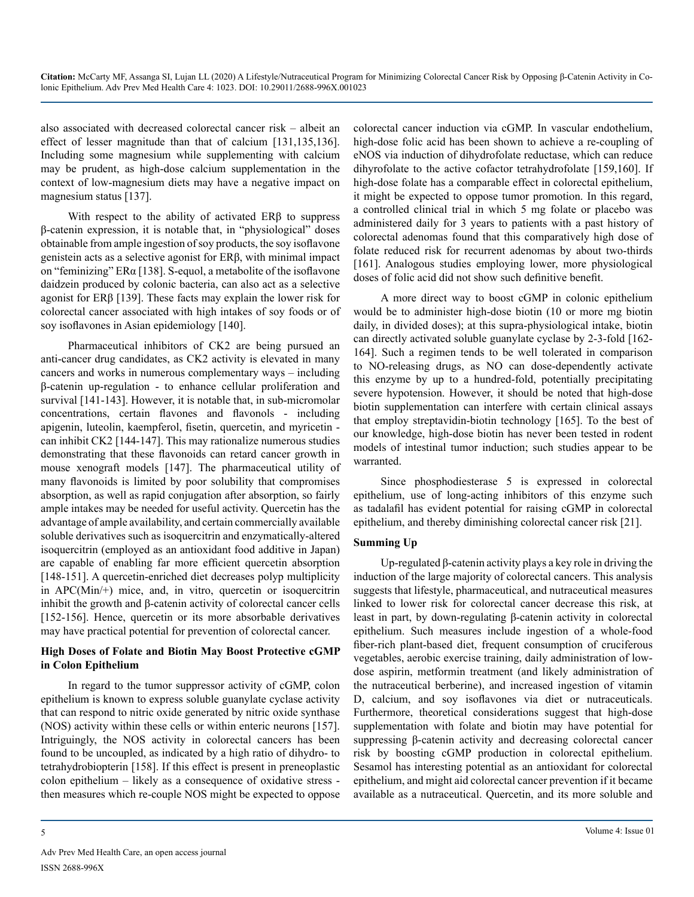also associated with decreased colorectal cancer risk – albeit an effect of lesser magnitude than that of calcium [131,135,136]. Including some magnesium while supplementing with calcium may be prudent, as high-dose calcium supplementation in the context of low-magnesium diets may have a negative impact on magnesium status [137].

With respect to the ability of activated ERβ to suppress β-catenin expression, it is notable that, in "physiological" doses obtainable from ample ingestion of soy products, the soy isoflavone genistein acts as a selective agonist for ERβ, with minimal impact on "feminizing" ERα [138]. S-equol, a metabolite of the isoflavone daidzein produced by colonic bacteria, can also act as a selective agonist for ERβ [139]. These facts may explain the lower risk for colorectal cancer associated with high intakes of soy foods or of soy isoflavones in Asian epidemiology [140].

Pharmaceutical inhibitors of CK2 are being pursued an anti-cancer drug candidates, as CK2 activity is elevated in many cancers and works in numerous complementary ways – including β-catenin up-regulation - to enhance cellular proliferation and survival [141-143]. However, it is notable that, in sub-micromolar concentrations, certain flavones and flavonols - including apigenin, luteolin, kaempferol, fisetin, quercetin, and myricetin can inhibit CK2 [144-147]. This may rationalize numerous studies demonstrating that these flavonoids can retard cancer growth in mouse xenograft models [147]. The pharmaceutical utility of many flavonoids is limited by poor solubility that compromises absorption, as well as rapid conjugation after absorption, so fairly ample intakes may be needed for useful activity. Quercetin has the advantage of ample availability, and certain commercially available soluble derivatives such as isoquercitrin and enzymatically-altered isoquercitrin (employed as an antioxidant food additive in Japan) are capable of enabling far more efficient quercetin absorption [148-151]. A quercetin-enriched diet decreases polyp multiplicity in APC(Min/+) mice, and, in vitro, quercetin or isoquercitrin inhibit the growth and β-catenin activity of colorectal cancer cells [152-156]. Hence, quercetin or its more absorbable derivatives may have practical potential for prevention of colorectal cancer.

#### **High Doses of Folate and Biotin May Boost Protective cGMP in Colon Epithelium**

In regard to the tumor suppressor activity of cGMP, colon epithelium is known to express soluble guanylate cyclase activity that can respond to nitric oxide generated by nitric oxide synthase (NOS) activity within these cells or within enteric neurons [157]. Intriguingly, the NOS activity in colorectal cancers has been found to be uncoupled, as indicated by a high ratio of dihydro- to tetrahydrobiopterin [158]. If this effect is present in preneoplastic colon epithelium – likely as a consequence of oxidative stress then measures which re-couple NOS might be expected to oppose

colorectal cancer induction via cGMP. In vascular endothelium, high-dose folic acid has been shown to achieve a re-coupling of eNOS via induction of dihydrofolate reductase, which can reduce dihyrofolate to the active cofactor tetrahydrofolate [159,160]. If high-dose folate has a comparable effect in colorectal epithelium, it might be expected to oppose tumor promotion. In this regard, a controlled clinical trial in which 5 mg folate or placebo was administered daily for 3 years to patients with a past history of colorectal adenomas found that this comparatively high dose of folate reduced risk for recurrent adenomas by about two-thirds [161]. Analogous studies employing lower, more physiological doses of folic acid did not show such definitive benefit.

A more direct way to boost cGMP in colonic epithelium would be to administer high-dose biotin (10 or more mg biotin daily, in divided doses); at this supra-physiological intake, biotin can directly activated soluble guanylate cyclase by 2-3-fold [162- 164]. Such a regimen tends to be well tolerated in comparison to NO-releasing drugs, as NO can dose-dependently activate this enzyme by up to a hundred-fold, potentially precipitating severe hypotension. However, it should be noted that high-dose biotin supplementation can interfere with certain clinical assays that employ streptavidin-biotin technology [165]. To the best of our knowledge, high-dose biotin has never been tested in rodent models of intestinal tumor induction; such studies appear to be warranted.

Since phosphodiesterase 5 is expressed in colorectal epithelium, use of long-acting inhibitors of this enzyme such as tadalafil has evident potential for raising cGMP in colorectal epithelium, and thereby diminishing colorectal cancer risk [21].

### **Summing Up**

Up-regulated β-catenin activity plays a key role in driving the induction of the large majority of colorectal cancers. This analysis suggests that lifestyle, pharmaceutical, and nutraceutical measures linked to lower risk for colorectal cancer decrease this risk, at least in part, by down-regulating β-catenin activity in colorectal epithelium. Such measures include ingestion of a whole-food fiber-rich plant-based diet, frequent consumption of cruciferous vegetables, aerobic exercise training, daily administration of lowdose aspirin, metformin treatment (and likely administration of the nutraceutical berberine), and increased ingestion of vitamin D, calcium, and soy isoflavones via diet or nutraceuticals. Furthermore, theoretical considerations suggest that high-dose supplementation with folate and biotin may have potential for suppressing β-catenin activity and decreasing colorectal cancer risk by boosting cGMP production in colorectal epithelium. Sesamol has interesting potential as an antioxidant for colorectal epithelium, and might aid colorectal cancer prevention if it became available as a nutraceutical. Quercetin, and its more soluble and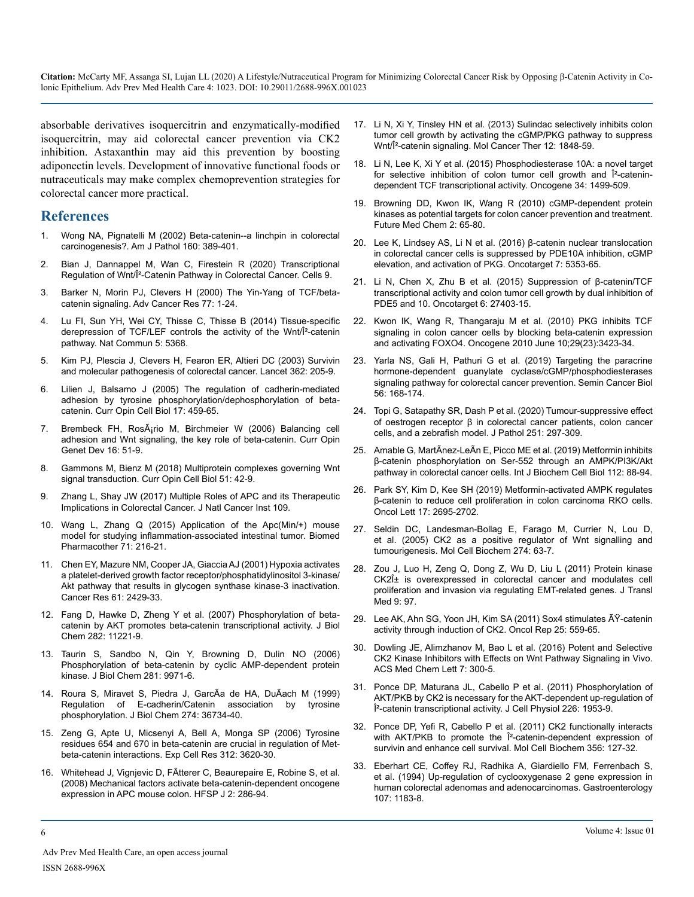absorbable derivatives isoquercitrin and enzymatically-modified isoquercitrin, may aid colorectal cancer prevention via CK2 inhibition. Astaxanthin may aid this prevention by boosting adiponectin levels. Development of innovative functional foods or nutraceuticals may make complex chemoprevention strategies for colorectal cancer more practical.

#### **References**

- 1. [Wong NA, Pignatelli M \(2002\) Beta-catenin--a linchpin in colorectal](https://pubmed.ncbi.nlm.nih.gov/11839557/)  [carcinogenesis?. Am J Pathol 160: 389-401.](https://pubmed.ncbi.nlm.nih.gov/11839557/)
- 2. [Bian J, Dannappel M, Wan C, Firestein R \(2020\) Transcriptional](https://pubmed.ncbi.nlm.nih.gov/32961708/)  [Regulation of Wnt/β-Catenin Pathway in Colorectal Cancer. Cells 9.](https://pubmed.ncbi.nlm.nih.gov/32961708/)
- 3. [Barker N, Morin PJ, Clevers H \(2000\) The Yin-Yang of TCF/beta](https://pubmed.ncbi.nlm.nih.gov/10549354/)[catenin signaling. Adv Cancer Res 77: 1-24.](https://pubmed.ncbi.nlm.nih.gov/10549354/)
- 4. [Lu FI, Sun YH, Wei CY, Thisse C, Thisse B \(2014\) Tissue-specific](https://pubmed.ncbi.nlm.nih.gov/25371059/)  [derepression of TCF/LEF controls the activity of the Wnt/β-catenin](https://pubmed.ncbi.nlm.nih.gov/25371059/) [pathway. Nat Commun 5: 5368.](https://pubmed.ncbi.nlm.nih.gov/25371059/)
- 5. [Kim PJ, Plescia J, Clevers H, Fearon ER, Altieri DC \(2003\) Survivin](https://pubmed.ncbi.nlm.nih.gov/12885482/) [and molecular pathogenesis of colorectal cancer. Lancet 362: 205-9](https://pubmed.ncbi.nlm.nih.gov/12885482/).
- 6. [Lilien J, Balsamo J \(2005\) The regulation of cadherin-mediated](https://pubmed.ncbi.nlm.nih.gov/16099633/#:~:text=Abstract,least three critical tyrosine residues.)  [adhesion by tyrosine phosphorylation/dephosphorylation of beta](https://pubmed.ncbi.nlm.nih.gov/16099633/#:~:text=Abstract,least three critical tyrosine residues.)[catenin. Curr Opin Cell Biol 17: 459-65.](https://pubmed.ncbi.nlm.nih.gov/16099633/#:~:text=Abstract,least three critical tyrosine residues.)
- 7. Brembeck FH, RosÂ<sub>i</sub>rio M, Birchmeier W (2006) Balancing cell [adhesion and Wnt signaling, the key role of beta-catenin. Curr Opin](https://pubmed.ncbi.nlm.nih.gov/16377174/)  [Genet Dev 16: 51-9.](https://pubmed.ncbi.nlm.nih.gov/16377174/)
- 8. [Gammons M, Bienz M \(2018\) Multiprotein complexes governing Wnt](https://pubmed.ncbi.nlm.nih.gov/29153704/#:~:text=Three multiprotein complexes have key,signalosome%2C assembled by polymerization of)  [signal transduction. Curr Opin Cell Biol 51: 42-9.](https://pubmed.ncbi.nlm.nih.gov/29153704/#:~:text=Three multiprotein complexes have key,signalosome%2C assembled by polymerization of)
- 9. [Zhang L, Shay JW \(2017\) Multiple Roles of APC and its Therapeutic](https://pubmed.ncbi.nlm.nih.gov/28423402/)  [Implications in Colorectal Cancer. J Natl Cancer Inst 109](https://pubmed.ncbi.nlm.nih.gov/28423402/).
- 10. [Wang L, Zhang Q \(2015\) Application of the Apc\(Min/+\) mouse](https://pubmed.ncbi.nlm.nih.gov/25960239/)  [model for studying inflammation-associated intestinal tumor. Biomed](https://pubmed.ncbi.nlm.nih.gov/25960239/)  [Pharmacother 71: 216-21.](https://pubmed.ncbi.nlm.nih.gov/25960239/)
- 11. [Chen EY, Mazure NM, Cooper JA, Giaccia AJ \(2001\) Hypoxia activates](https://pubmed.ncbi.nlm.nih.gov/11289110/)  [a platelet-derived growth factor receptor/phosphatidylinositol 3-kinase/](https://pubmed.ncbi.nlm.nih.gov/11289110/) [Akt pathway that results in glycogen synthase kinase-3 inactivation.](https://pubmed.ncbi.nlm.nih.gov/11289110/)  [Cancer Res 61: 2429-33](https://pubmed.ncbi.nlm.nih.gov/11289110/).
- 12. [Fang D, Hawke D, Zheng Y et al. \(2007\) Phosphorylation of beta](https://pubmed.ncbi.nlm.nih.gov/17287208/#:~:text=Phosphorylation of beta%2Dcatenin by AKT increases its transcriptional activity,in tumor invasion and development.)[catenin by AKT promotes beta-catenin transcriptional activity. J Biol](https://pubmed.ncbi.nlm.nih.gov/17287208/#:~:text=Phosphorylation of beta%2Dcatenin by AKT increases its transcriptional activity,in tumor invasion and development.)  [Chem 282: 11221-9](https://pubmed.ncbi.nlm.nih.gov/17287208/#:~:text=Phosphorylation of beta%2Dcatenin by AKT increases its transcriptional activity,in tumor invasion and development.).
- 13. [Taurin S, Sandbo N, Qin Y, Browning D, Dulin NO \(2006\)](https://pubmed.ncbi.nlm.nih.gov/16476742/)  [Phosphorylation of beta-catenin by cyclic AMP-dependent protein](https://pubmed.ncbi.nlm.nih.gov/16476742/)  [kinase. J Biol Chem 281: 9971-6.](https://pubmed.ncbi.nlm.nih.gov/16476742/)
- 14. [Roura S, Miravet S, Piedra J, GarcÃa de HA, DuÃach M \(1999\)](https://pubmed.ncbi.nlm.nih.gov/10593980/#:~:text=Alteration of cadherin%2Dmediated cell,vitro assays with recombinant proteins.) [Regulation of E-cadherin/Catenin association by tyrosine](https://pubmed.ncbi.nlm.nih.gov/10593980/#:~:text=Alteration of cadherin%2Dmediated cell,vitro assays with recombinant proteins.)  [phosphorylation. J Biol Chem 274: 36734-40.](https://pubmed.ncbi.nlm.nih.gov/10593980/#:~:text=Alteration of cadherin%2Dmediated cell,vitro assays with recombinant proteins.)
- 15. [Zeng G, Apte U, Micsenyi A, Bell A, Monga SP \(2006\) Tyrosine](https://www.ncbi.nlm.nih.gov/pmc/articles/PMC1820835/)  [residues 654 and 670 in beta-catenin are crucial in regulation of Met](https://www.ncbi.nlm.nih.gov/pmc/articles/PMC1820835/)[beta-catenin interactions. Exp Cell Res 312: 3620-30](https://www.ncbi.nlm.nih.gov/pmc/articles/PMC1820835/).
- 16. [Whitehead J, Vignjevic D, FÃtterer C, Beaurepaire E, Robine S, et al.](https://pubmed.ncbi.nlm.nih.gov/19404440/#:~:text=The mechanical activation of Myc,accumulation which drives colon cancer.) [\(2008\) Mechanical factors activate beta-catenin-dependent oncogene](https://pubmed.ncbi.nlm.nih.gov/19404440/#:~:text=The mechanical activation of Myc,accumulation which drives colon cancer.)  [expression in APC mouse colon. HFSP J 2: 286-94.](https://pubmed.ncbi.nlm.nih.gov/19404440/#:~:text=The mechanical activation of Myc,accumulation which drives colon cancer.)
- 17. [Li N, Xi Y, Tinsley HN et al. \(2013\) Sulindac selectively inhibits colon](https://pubmed.ncbi.nlm.nih.gov/23804703/#:~:text=The mechanism by which sulindac,of cyclin D1 and survivin.)  [tumor cell growth by activating the cGMP/PKG pathway to suppress](https://pubmed.ncbi.nlm.nih.gov/23804703/#:~:text=The mechanism by which sulindac,of cyclin D1 and survivin.)  [Wnt/β-catenin signaling. Mol Cancer Ther 12: 1848-59](https://pubmed.ncbi.nlm.nih.gov/23804703/#:~:text=The mechanism by which sulindac,of cyclin D1 and survivin.).
- 18. [Li N, Lee K, Xi Y et al. \(2015\) Phosphodiesterase 10A: a novel target](https://pubmed.ncbi.nlm.nih.gov/24704829/)  for selective inhibition of colon tumor cell growth and Î<sup>2</sup>-catenin[dependent TCF transcriptional activity. Oncogene 34: 1499-509](https://pubmed.ncbi.nlm.nih.gov/24704829/).
- 19. [Browning DD, Kwon IK, Wang R \(2010\) cGMP-dependent protein](https://pubmed.ncbi.nlm.nih.gov/21426046/)  [kinases as potential targets for colon cancer prevention and treatment.](https://pubmed.ncbi.nlm.nih.gov/21426046/)  [Future Med Chem 2: 65-80](https://pubmed.ncbi.nlm.nih.gov/21426046/).
- 20. [Lee K, Lindsey AS, Li N et al. \(2016\) β-catenin nuclear translocation](https://pubmed.ncbi.nlm.nih.gov/26713600/)  [in colorectal cancer cells is suppressed by PDE10A inhibition, cGMP](https://pubmed.ncbi.nlm.nih.gov/26713600/)  [elevation, and activation of PKG. Oncotarget 7: 5353-65](https://pubmed.ncbi.nlm.nih.gov/26713600/).
- 21. [Li N, Chen X, Zhu B et al. \(2015\) Suppression of β-catenin/TCF](https://pubmed.ncbi.nlm.nih.gov/26299804/)  [transcriptional activity and colon tumor cell growth by dual inhibition of](https://pubmed.ncbi.nlm.nih.gov/26299804/)  [PDE5 and 10. Oncotarget 6: 27403-15.](https://pubmed.ncbi.nlm.nih.gov/26299804/)
- 22. [Kwon IK, Wang R, Thangaraju M et al. \(2010\) PKG inhibits TCF](https://pubmed.ncbi.nlm.nih.gov/20348951/#:~:text=We show that PKG activation,target beta%2Dcatenin for degradation.)  [signaling in colon cancer cells by blocking beta-catenin expression](https://pubmed.ncbi.nlm.nih.gov/20348951/#:~:text=We show that PKG activation,target beta%2Dcatenin for degradation.)  [and activating FOXO4. Oncogene 2010 June 10;29\(23\):3423-34.](https://pubmed.ncbi.nlm.nih.gov/20348951/#:~:text=We show that PKG activation,target beta%2Dcatenin for degradation.)
- 23. [Yarla NS, Gali H, Pathuri G et al. \(2019\) Targeting the paracrine](https://www.sciencedirect.com/science/article/abs/pii/S1044579X18300646)  [hormone-dependent guanylate cyclase/cGMP/phosphodiesterases](https://www.sciencedirect.com/science/article/abs/pii/S1044579X18300646)  [signaling pathway for colorectal cancer prevention. Semin Cancer Biol](https://www.sciencedirect.com/science/article/abs/pii/S1044579X18300646)  [56: 168-174.](https://www.sciencedirect.com/science/article/abs/pii/S1044579X18300646)
- 24. [Topi G, Satapathy SR, Dash P et al. \(2020\) Tumour-suppressive effect](https://europepmc.org/article/med/32333795)  [of oestrogen receptor β in colorectal cancer patients, colon cancer](https://europepmc.org/article/med/32333795)  [cells, and a zebrafish model. J Pathol 251: 297-309.](https://europepmc.org/article/med/32333795)
- 25. [Amable G, MartÃnez-LeÃn E, Picco ME et al. \(2019\) Metformin inhibits](https://pubmed.ncbi.nlm.nih.gov/31082618/)  [β-catenin phosphorylation on Ser-552 through an AMPK/PI3K/Akt](https://pubmed.ncbi.nlm.nih.gov/31082618/) [pathway in colorectal cancer cells. Int J Biochem Cell Biol 112: 88-94.](https://pubmed.ncbi.nlm.nih.gov/31082618/)
- 26. [Park SY, Kim D, Kee SH \(2019\) Metformin-activated AMPK regulates](https://pubmed.ncbi.nlm.nih.gov/30854043/#:~:text=Treatment with metformin reduced mitochondrial,be associated with %CE%B2%2Dcatenin.)  [β-catenin to reduce cell proliferation in colon carcinoma RKO cells.](https://pubmed.ncbi.nlm.nih.gov/30854043/#:~:text=Treatment with metformin reduced mitochondrial,be associated with %CE%B2%2Dcatenin.)  [Oncol Lett 17: 2695-2702](https://pubmed.ncbi.nlm.nih.gov/30854043/#:~:text=Treatment with metformin reduced mitochondrial,be associated with %CE%B2%2Dcatenin.).
- 27. [Seldin DC, Landesman-Bollag E, Farago M, Currier N, Lou D,](https://pubmed.ncbi.nlm.nih.gov/16342409/) [et al. \(2005\) CK2 as a positive regulator of Wnt signalling and](https://pubmed.ncbi.nlm.nih.gov/16342409/)  [tumourigenesis. Mol Cell Biochem 274: 63-7.](https://pubmed.ncbi.nlm.nih.gov/16342409/)
- 28. [Zou J, Luo H, Zeng Q, Dong Z, Wu D, Liu L \(2011\) Protein kinase](https://pubmed.ncbi.nlm.nih.gov/21702981/)  CK2α is overexpressed in colorectal cancer and modulates cell [proliferation and invasion via regulating EMT-related genes. J Transl](https://pubmed.ncbi.nlm.nih.gov/21702981/)  [Med 9: 97.](https://pubmed.ncbi.nlm.nih.gov/21702981/)
- 29. Lee AK, Ahn SG, Yoon JH, Kim SA (2011) Sox4 stimulates ÄY-catenin [activity through induction of CK2. Oncol Rep 25: 559-65](https://pubmed.ncbi.nlm.nih.gov/21165564/).
- 30. [Dowling JE, Alimzhanov M, Bao L et al. \(2016\) Potent and Selective](https://pubmed.ncbi.nlm.nih.gov/26985319/)  [CK2 Kinase Inhibitors with Effects on Wnt Pathway Signaling in Vivo.](https://pubmed.ncbi.nlm.nih.gov/26985319/)  [ACS Med Chem Lett 7: 300-5.](https://pubmed.ncbi.nlm.nih.gov/26985319/)
- 31. [Ponce DP, Maturana JL, Cabello P et al. \(2011\) Phosphorylation of](https://pubmed.ncbi.nlm.nih.gov/21506126/) [AKT/PKB by CK2 is necessary for the AKT-dependent up-regulation of](https://pubmed.ncbi.nlm.nih.gov/21506126/)  Î<sup>2</sup>-catenin transcriptional activity. J Cell Physiol 226: 1953-9.
- 32. [Ponce DP, Yefi R, Cabello P et al. \(2011\) CK2 functionally interacts](https://pubmed.ncbi.nlm.nih.gov/21735093/)  with AKT/PKB to promote the  $\hat{I}^2$ -catenin-dependent expression of [survivin and enhance cell survival. Mol Cell Biochem 356: 127-32.](https://pubmed.ncbi.nlm.nih.gov/21735093/)
- 33. [Eberhart CE, Coffey RJ, Radhika A, Giardiello FM, Ferrenbach S,](https://pubmed.ncbi.nlm.nih.gov/7926468/)  [et al. \(1994\) Up-regulation of cyclooxygenase 2 gene expression in](https://pubmed.ncbi.nlm.nih.gov/7926468/)  [human colorectal adenomas and adenocarcinomas. Gastroenterology](https://pubmed.ncbi.nlm.nih.gov/7926468/)  [107: 1183-8](https://pubmed.ncbi.nlm.nih.gov/7926468/).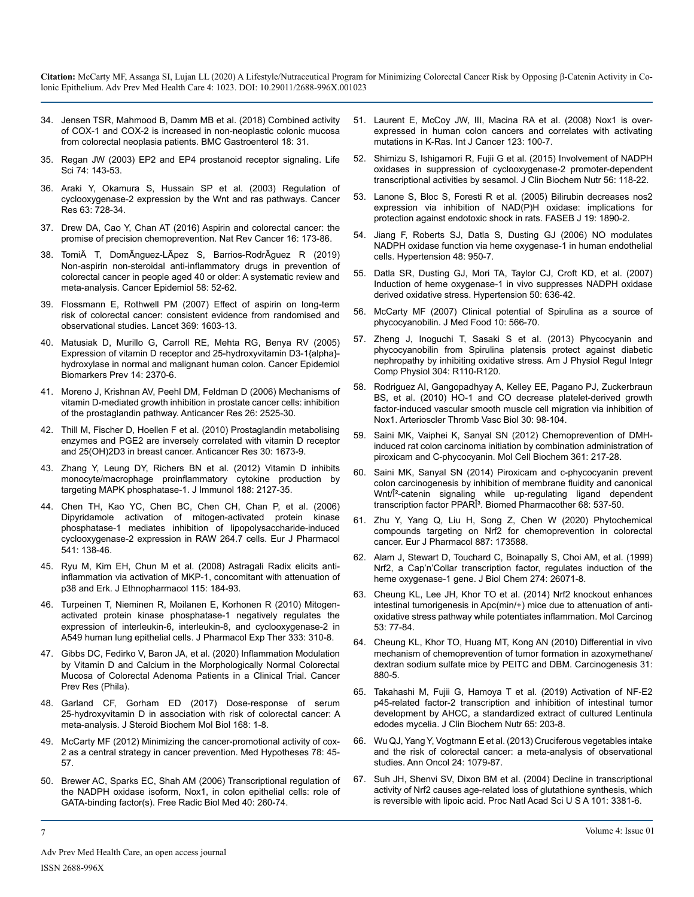- 34. [Jensen TSR, Mahmood B, Damm MB et al. \(2018\) Combined activity](https://pubmed.ncbi.nlm.nih.gov/29486731/#:~:text=Abstract,COX isozyme involved in neoplasia.&text=This indicates that COX%2D1,to an increased proliferation process.)  [of COX-1 and COX-2 is increased in non-neoplastic colonic mucosa](https://pubmed.ncbi.nlm.nih.gov/29486731/#:~:text=Abstract,COX isozyme involved in neoplasia.&text=This indicates that COX%2D1,to an increased proliferation process.)  [from colorectal neoplasia patients. BMC Gastroenterol 18: 31.](https://pubmed.ncbi.nlm.nih.gov/29486731/#:~:text=Abstract,COX isozyme involved in neoplasia.&text=This indicates that COX%2D1,to an increased proliferation process.)
- 35. [Regan JW \(2003\) EP2 and EP4 prostanoid receptor signaling. Life](https://pubmed.ncbi.nlm.nih.gov/14607241/)  [Sci 74: 143-53.](https://pubmed.ncbi.nlm.nih.gov/14607241/)
- 36. [Araki Y, Okamura S, Hussain SP et al. \(2003\) Regulation of](https://pubmed.ncbi.nlm.nih.gov/12566320/)  [cyclooxygenase-2 expression by the Wnt and ras pathways. Cancer](https://pubmed.ncbi.nlm.nih.gov/12566320/)  [Res 63: 728-34.](https://pubmed.ncbi.nlm.nih.gov/12566320/)
- 37. [Drew DA, Cao Y, Chan AT \(2016\) Aspirin and colorectal cancer: the](https://pubmed.ncbi.nlm.nih.gov/26868177/)  [promise of precision chemoprevention. Nat Rev Cancer 16: 173-86.](https://pubmed.ncbi.nlm.nih.gov/26868177/)
- 38. [TomiÄ T, DomÃnguez-LÃpez S, Barrios-RodrÃguez R \(2019\)](https://pubmed.ncbi.nlm.nih.gov/30472477/)  [Non-aspirin non-steroidal anti-inflammatory drugs in prevention of](https://pubmed.ncbi.nlm.nih.gov/30472477/)  [colorectal cancer in people aged 40 or older: A systematic review and](https://pubmed.ncbi.nlm.nih.gov/30472477/)  [meta-analysis. Cancer Epidemiol 58: 52-62.](https://pubmed.ncbi.nlm.nih.gov/30472477/)
- 39. [Flossmann E, Rothwell PM \(2007\) Effect of aspirin on long-term](https://pubmed.ncbi.nlm.nih.gov/17499602/)  [risk of colorectal cancer: consistent evidence from randomised and](https://pubmed.ncbi.nlm.nih.gov/17499602/)  [observational studies. Lancet 369: 1603-13.](https://pubmed.ncbi.nlm.nih.gov/17499602/)
- 40. [Matusiak D, Murillo G, Carroll RE, Mehta RG, Benya RV \(2005\)](https://pubmed.ncbi.nlm.nih.gov/16214919/)  [Expression of vitamin D receptor and 25-hydroxyvitamin D3-1{alpha}](https://pubmed.ncbi.nlm.nih.gov/16214919/) [hydroxylase in normal and malignant human colon. Cancer Epidemiol](https://pubmed.ncbi.nlm.nih.gov/16214919/)  [Biomarkers Prev 14: 2370-6.](https://pubmed.ncbi.nlm.nih.gov/16214919/)
- 41. [Moreno J, Krishnan AV, Peehl DM, Feldman D \(2006\) Mechanisms of](https://pubmed.ncbi.nlm.nih.gov/16886660/) [vitamin D-mediated growth inhibition in prostate cancer cells: inhibition](https://pubmed.ncbi.nlm.nih.gov/16886660/)  [of the prostaglandin pathway. Anticancer Res 26: 2525-30.](https://pubmed.ncbi.nlm.nih.gov/16886660/)
- 42. [Thill M, Fischer D, Hoellen F et al. \(2010\) Prostaglandin metabolising](https://pubmed.ncbi.nlm.nih.gov/20592360/)  [enzymes and PGE2 are inversely correlated with vitamin D receptor](https://pubmed.ncbi.nlm.nih.gov/20592360/)  [and 25\(OH\)2D3 in breast cancer. Anticancer Res 30: 1673-9.](https://pubmed.ncbi.nlm.nih.gov/20592360/)
- 43. [Zhang Y, Leung DY, Richers BN et al. \(2012\) Vitamin D inhibits](https://pubmed.ncbi.nlm.nih.gov/22301548/)  [monocyte/macrophage proinflammatory cytokine production by](https://pubmed.ncbi.nlm.nih.gov/22301548/)  [targeting MAPK phosphatase-1. J Immunol 188: 2127-35.](https://pubmed.ncbi.nlm.nih.gov/22301548/)
- 44. [Chen TH, Kao YC, Chen BC, Chen CH, Chan P, et al. \(2006\)](https://pubmed.ncbi.nlm.nih.gov/16765938/) [Dipyridamole activation of mitogen-activated protein kinase](https://pubmed.ncbi.nlm.nih.gov/16765938/)  [phosphatase-1 mediates inhibition of lipopolysaccharide-induced](https://pubmed.ncbi.nlm.nih.gov/16765938/)  [cyclooxygenase-2 expression in RAW 264.7 cells. Eur J Pharmacol](https://pubmed.ncbi.nlm.nih.gov/16765938/)  [541: 138-46.](https://pubmed.ncbi.nlm.nih.gov/16765938/)
- 45. [Ryu M, Kim EH, Chun M et al. \(2008\) Astragali Radix elicits anti](https://pubmed.ncbi.nlm.nih.gov/17996413/)[inflammation via activation of MKP-1, concomitant with attenuation of](https://pubmed.ncbi.nlm.nih.gov/17996413/)  [p38 and Erk. J Ethnopharmacol 115: 184-93](https://pubmed.ncbi.nlm.nih.gov/17996413/).
- 46. [Turpeinen T, Nieminen R, Moilanen E, Korhonen R \(2010\) Mitogen](https://jpet.aspetjournals.org/content/333/1/310.abstract)[activated protein kinase phosphatase-1 negatively regulates the](https://jpet.aspetjournals.org/content/333/1/310.abstract)  [expression of interleukin-6, interleukin-8, and cyclooxygenase-2 in](https://jpet.aspetjournals.org/content/333/1/310.abstract)  [A549 human lung epithelial cells. J Pharmacol Exp Ther 333: 310-8.](https://jpet.aspetjournals.org/content/333/1/310.abstract)
- 47. [Gibbs DC, Fedirko V, Baron JA, et al. \(2020\) Inflammation Modulation](https://pubmed.ncbi.nlm.nih.gov/32917645/)  [by Vitamin D and Calcium in the Morphologically Normal Colorectal](https://pubmed.ncbi.nlm.nih.gov/32917645/)  [Mucosa of Colorectal Adenoma Patients in a Clinical Trial. Cancer](https://pubmed.ncbi.nlm.nih.gov/32917645/)  [Prev Res \(Phila\)](https://pubmed.ncbi.nlm.nih.gov/32917645/).
- 48. [Garland CF, Gorham ED \(2017\) Dose-response of serum](https://www.sciencedirect.com/science/article/abs/pii/S0960076016303429)  [25-hydroxyvitamin D in association with risk of colorectal cancer: A](https://www.sciencedirect.com/science/article/abs/pii/S0960076016303429) [meta-analysis. J Steroid Biochem Mol Biol 168: 1-8.](https://www.sciencedirect.com/science/article/abs/pii/S0960076016303429)
- 49. [McCarty MF \(2012\) Minimizing the cancer-promotional activity of cox-](https://pubmed.ncbi.nlm.nih.gov/22001128/)[2 as a central strategy in cancer prevention. Med Hypotheses 78: 45-](https://pubmed.ncbi.nlm.nih.gov/22001128/) [57.](https://pubmed.ncbi.nlm.nih.gov/22001128/)
- 50. [Brewer AC, Sparks EC, Shah AM \(2006\) Transcriptional regulation of](https://pubmed.ncbi.nlm.nih.gov/16413408/)  [the NADPH oxidase isoform, Nox1, in colon epithelial cells: role of](https://pubmed.ncbi.nlm.nih.gov/16413408/)  [GATA-binding factor\(s\). Free Radic Biol Med 40: 260-74.](https://pubmed.ncbi.nlm.nih.gov/16413408/)
- 51. [Laurent E, McCoy JW, III, Macina RA et al. \(2008\) Nox1 is over](https://pubmed.ncbi.nlm.nih.gov/18398843/)[expressed in human colon cancers and correlates with activating](https://pubmed.ncbi.nlm.nih.gov/18398843/)  [mutations in K-Ras. Int J Cancer 123: 100-7.](https://pubmed.ncbi.nlm.nih.gov/18398843/)
- 52. [Shimizu S, Ishigamori R, Fujii G et al. \(2015\) Involvement of NADPH](https://pubmed.ncbi.nlm.nih.gov/25759517/)  [oxidases in suppression of cyclooxygenase-2 promoter-dependent](https://pubmed.ncbi.nlm.nih.gov/25759517/)  [transcriptional activities by sesamol. J Clin Biochem Nutr 56: 118-22](https://pubmed.ncbi.nlm.nih.gov/25759517/).
- 53. [Lanone S, Bloc S, Foresti R et al. \(2005\) Bilirubin decreases nos2](https://pubmed.ncbi.nlm.nih.gov/16129699/) [expression via inhibition of NAD\(P\)H oxidase: implications for](https://pubmed.ncbi.nlm.nih.gov/16129699/)  [protection against endotoxic shock in rats. FASEB J 19: 1890-2.](https://pubmed.ncbi.nlm.nih.gov/16129699/)
- 54. [Jiang F, Roberts SJ, Datla S, Dusting GJ \(2006\) NO modulates](https://pubmed.ncbi.nlm.nih.gov/16982957/)  [NADPH oxidase function via heme oxygenase-1 in human endothelial](https://pubmed.ncbi.nlm.nih.gov/16982957/)  [cells. Hypertension 48: 950-7.](https://pubmed.ncbi.nlm.nih.gov/16982957/)
- 55. [Datla SR, Dusting GJ, Mori TA, Taylor CJ, Croft KD, et al. \(2007\)](https://pubmed.ncbi.nlm.nih.gov/17679649/)  [Induction of heme oxygenase-1 in vivo suppresses NADPH oxidase](https://pubmed.ncbi.nlm.nih.gov/17679649/)  [derived oxidative stress. Hypertension 50: 636-42.](https://pubmed.ncbi.nlm.nih.gov/17679649/)
- 56. [McCarty MF \(2007\) Clinical potential of Spirulina as a source of](https://pubmed.ncbi.nlm.nih.gov/18158824/) [phycocyanobilin. J Med Food 10: 566-70.](https://pubmed.ncbi.nlm.nih.gov/18158824/)
- 57. [Zheng J, Inoguchi T, Sasaki S et al. \(2013\) Phycocyanin and](https://pubmed.ncbi.nlm.nih.gov/23115122/)  [phycocyanobilin from Spirulina platensis protect against diabetic](https://pubmed.ncbi.nlm.nih.gov/23115122/)  [nephropathy by inhibiting oxidative stress. Am J Physiol Regul Integr](https://pubmed.ncbi.nlm.nih.gov/23115122/)  [Comp Physiol 304: R110-R120.](https://pubmed.ncbi.nlm.nih.gov/23115122/)
- 58. [Rodriguez AI, Gangopadhyay A, Kelley EE, Pagano PJ, Zuckerbraun](https://pubmed.ncbi.nlm.nih.gov/19875720/)  [BS, et al. \(2010\) HO-1 and CO decrease platelet-derived growth](https://pubmed.ncbi.nlm.nih.gov/19875720/)  [factor-induced vascular smooth muscle cell migration via inhibition of](https://pubmed.ncbi.nlm.nih.gov/19875720/)  [Nox1. Arterioscler Thromb Vasc Biol 30: 98-104.](https://pubmed.ncbi.nlm.nih.gov/19875720/)
- 59. [Saini MK, Vaiphei K, Sanyal SN \(2012\) Chemoprevention of DMH](https://pubmed.ncbi.nlm.nih.gov/21989718/)[induced rat colon carcinoma initiation by combination administration of](https://pubmed.ncbi.nlm.nih.gov/21989718/)  [piroxicam and C-phycocyanin. Mol Cell Biochem 361: 217-28.](https://pubmed.ncbi.nlm.nih.gov/21989718/)
- 60. [Saini MK, Sanyal SN \(2014\) Piroxicam and c-phycocyanin prevent](https://pubmed.ncbi.nlm.nih.gov/24721324/)  [colon carcinogenesis by inhibition of membrane fluidity and canonical](https://pubmed.ncbi.nlm.nih.gov/24721324/)  Wnt/Î<sup>2</sup>-catenin signaling while up-regulating ligand dependent transcription factor PPARÎ<sup>3</sup>. Biomed Pharmacother 68: 537-50.
- 61. [Zhu Y, Yang Q, Liu H, Song Z, Chen W \(2020\) Phytochemical](https://pubmed.ncbi.nlm.nih.gov/32961170/)  [compounds targeting on Nrf2 for chemoprevention in colorectal](https://pubmed.ncbi.nlm.nih.gov/32961170/)  [cancer. Eur J Pharmacol 887: 173588.](https://pubmed.ncbi.nlm.nih.gov/32961170/)
- 62. [Alam J, Stewart D, Touchard C, Boinapally S, Choi AM, et al. \(1999\)](https://pubmed.ncbi.nlm.nih.gov/10473555/)  [Nrf2, a Cap'n'Collar transcription factor, regulates induction of the](https://pubmed.ncbi.nlm.nih.gov/10473555/)  [heme oxygenase-1 gene. J Biol Chem 274: 26071-8.](https://pubmed.ncbi.nlm.nih.gov/10473555/)
- 63. [Cheung KL, Lee JH, Khor TO et al. \(2014\) Nrf2 knockout enhances](https://pubmed.ncbi.nlm.nih.gov/22911891/)  [intestinal tumorigenesis in Apc\(min/+\) mice due to attenuation of anti](https://pubmed.ncbi.nlm.nih.gov/22911891/)[oxidative stress pathway while potentiates inflammation. Mol Carcinog](https://pubmed.ncbi.nlm.nih.gov/22911891/)  [53: 77-84.](https://pubmed.ncbi.nlm.nih.gov/22911891/)
- 64. [Cheung KL, Khor TO, Huang MT, Kong AN \(2010\) Differential in vivo](https://pubmed.ncbi.nlm.nih.gov/19959557/)  [mechanism of chemoprevention of tumor formation in azoxymethane/](https://pubmed.ncbi.nlm.nih.gov/19959557/) [dextran sodium sulfate mice by PEITC and DBM. Carcinogenesis 31:](https://pubmed.ncbi.nlm.nih.gov/19959557/)  [880-5.](https://pubmed.ncbi.nlm.nih.gov/19959557/)
- 65. [Takahashi M, Fujii G, Hamoya T et al. \(2019\) Activation of NF-E2](https://pubmed.ncbi.nlm.nih.gov/31777421/)  [p45-related factor-2 transcription and inhibition of intestinal tumor](https://pubmed.ncbi.nlm.nih.gov/31777421/)  [development by AHCC, a standardized extract of cultured Lentinula](https://pubmed.ncbi.nlm.nih.gov/31777421/)  [edodes mycelia. J Clin Biochem Nutr 65: 203-8.](https://pubmed.ncbi.nlm.nih.gov/31777421/)
- 66. [Wu QJ, Yang Y, Vogtmann E et al. \(2013\) Cruciferous vegetables intake](https://pubmed.ncbi.nlm.nih.gov/23211939/#:~:text=Results%3A Twenty%2Dfour case%2D,and broccoli yielded similar result.)  [and the risk of colorectal cancer: a meta-analysis of observational](https://pubmed.ncbi.nlm.nih.gov/23211939/#:~:text=Results%3A Twenty%2Dfour case%2D,and broccoli yielded similar result.)  [studies. Ann Oncol 24: 1079-87.](https://pubmed.ncbi.nlm.nih.gov/23211939/#:~:text=Results%3A Twenty%2Dfour case%2D,and broccoli yielded similar result.)
- 67. [Suh JH, Shenvi SV, Dixon BM et al. \(2004\) Decline in transcriptional](https://pubmed.ncbi.nlm.nih.gov/14985508/)  [activity of Nrf2 causes age-related loss of glutathione synthesis, which](https://pubmed.ncbi.nlm.nih.gov/14985508/)  [is reversible with lipoic acid. Proc Natl Acad Sci U S A 101: 3381-6.](https://pubmed.ncbi.nlm.nih.gov/14985508/)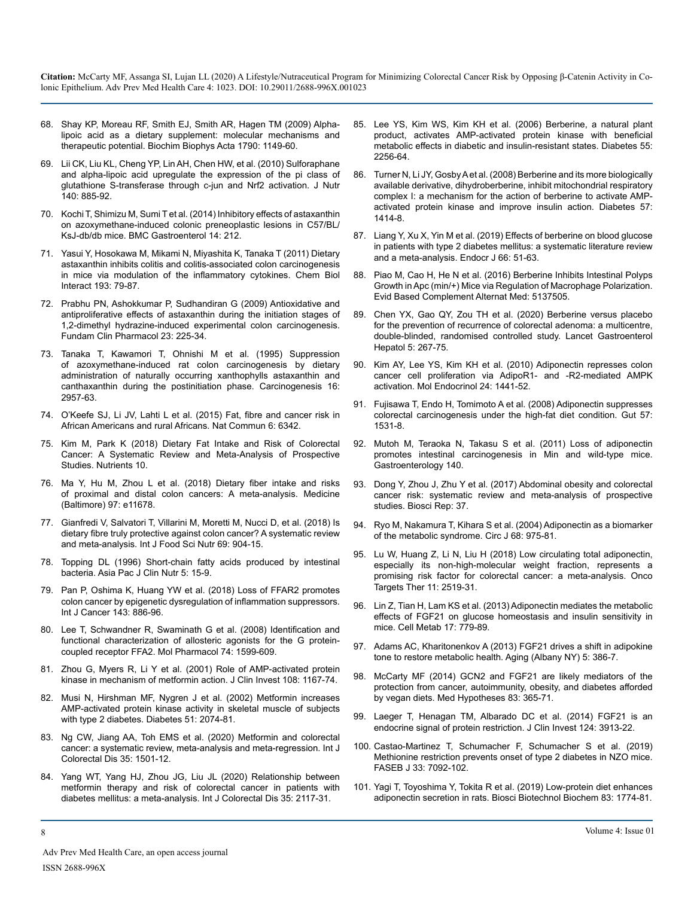- 68. [Shay KP, Moreau RF, Smith EJ, Smith AR, Hagen TM \(2009\) Alpha](https://pubmed.ncbi.nlm.nih.gov/19664690/)[lipoic acid as a dietary supplement: molecular mechanisms and](https://pubmed.ncbi.nlm.nih.gov/19664690/)  [therapeutic potential. Biochim Biophys Acta 1790: 1149-60.](https://pubmed.ncbi.nlm.nih.gov/19664690/)
- 69. [Lii CK, Liu KL, Cheng YP, Lin AH, Chen HW, et al. \(2010\) Sulforaphane](https://pubmed.ncbi.nlm.nih.gov/20237067/)  [and alpha-lipoic acid upregulate the expression of the pi class of](https://pubmed.ncbi.nlm.nih.gov/20237067/)  [glutathione S-transferase through c-jun and Nrf2 activation. J Nutr](https://pubmed.ncbi.nlm.nih.gov/20237067/)  [140: 885-92.](https://pubmed.ncbi.nlm.nih.gov/20237067/)
- 70. [Kochi T, Shimizu M, Sumi T et al. \(2014\) Inhibitory effects of astaxanthin](https://www.ncbi.nlm.nih.gov/pmc/articles/PMC4273491/)  [on azoxymethane-induced colonic preneoplastic lesions in C57/BL/](https://www.ncbi.nlm.nih.gov/pmc/articles/PMC4273491/) [KsJ-db/db mice. BMC Gastroenterol 14: 212.](https://www.ncbi.nlm.nih.gov/pmc/articles/PMC4273491/)
- 71. [Yasui Y, Hosokawa M, Mikami N, Miyashita K, Tanaka T \(2011\) Dietary](https://pubmed.ncbi.nlm.nih.gov/21621527/)  [astaxanthin inhibits colitis and colitis-associated colon carcinogenesis](https://pubmed.ncbi.nlm.nih.gov/21621527/)  [in mice via modulation of the inflammatory cytokines. Chem Biol](https://pubmed.ncbi.nlm.nih.gov/21621527/)  [Interact 193: 79-87.](https://pubmed.ncbi.nlm.nih.gov/21621527/)
- 72. [Prabhu PN, Ashokkumar P, Sudhandiran G \(2009\) Antioxidative and](https://pubmed.ncbi.nlm.nih.gov/19645817/)  [antiproliferative effects of astaxanthin during the initiation stages of](https://pubmed.ncbi.nlm.nih.gov/19645817/)  [1,2-dimethyl hydrazine-induced experimental colon carcinogenesis.](https://pubmed.ncbi.nlm.nih.gov/19645817/)  [Fundam Clin Pharmacol 23: 225-34.](https://pubmed.ncbi.nlm.nih.gov/19645817/)
- 73. [Tanaka T, Kawamori T, Ohnishi M et al. \(1995\) Suppression](https://pubmed.ncbi.nlm.nih.gov/8603470/)  [of azoxymethane-induced rat colon carcinogenesis by dietary](https://pubmed.ncbi.nlm.nih.gov/8603470/)  [administration of naturally occurring xanthophylls astaxanthin and](https://pubmed.ncbi.nlm.nih.gov/8603470/)  [canthaxanthin during the postinitiation phase. Carcinogenesis 16:](https://pubmed.ncbi.nlm.nih.gov/8603470/)  [2957-63.](https://pubmed.ncbi.nlm.nih.gov/8603470/)
- 74. [O'Keefe SJ, Li JV, Lahti L et al. \(2015\) Fat, fibre and cancer risk in](https://pubmed.ncbi.nlm.nih.gov/25919227/)  [African Americans and rural Africans. Nat Commun 6: 6342.](https://pubmed.ncbi.nlm.nih.gov/25919227/)
- 75. [Kim M, Park K \(2018\) Dietary Fat Intake and Risk of Colorectal](https://pubmed.ncbi.nlm.nih.gov/30545042/)  [Cancer: A Systematic Review and Meta-Analysis of Prospective](https://pubmed.ncbi.nlm.nih.gov/30545042/)  [Studies. Nutrients 10.](https://pubmed.ncbi.nlm.nih.gov/30545042/)
- 76. [Ma Y, Hu M, Zhou L et al. \(2018\) Dietary fiber intake and risks](https://pubmed.ncbi.nlm.nih.gov/30200062/)  [of proximal and distal colon cancers: A meta-analysis. Medicine](https://pubmed.ncbi.nlm.nih.gov/30200062/)  [\(Baltimore\) 97: e11678.](https://pubmed.ncbi.nlm.nih.gov/30200062/)
- 77. [Gianfredi V, Salvatori T, Villarini M, Moretti M, Nucci D, et al. \(2018\) Is](https://pubmed.ncbi.nlm.nih.gov/29516760/) [dietary fibre truly protective against colon cancer? A systematic review](https://pubmed.ncbi.nlm.nih.gov/29516760/)  [and meta-analysis. Int J Food Sci Nutr 69: 904-15.](https://pubmed.ncbi.nlm.nih.gov/29516760/)
- 78. [Topping DL \(1996\) Short-chain fatty acids produced by intestinal](https://pubmed.ncbi.nlm.nih.gov/24394459/)  [bacteria. Asia Pac J Clin Nutr 5: 15-9.](https://pubmed.ncbi.nlm.nih.gov/24394459/)
- 79. [Pan P, Oshima K, Huang YW et al. \(2018\) Loss of FFAR2 promotes](https://www.ncbi.nlm.nih.gov/pmc/articles/PMC6041131/#:~:text=Loss of FFAR2 epigenetically promotes colon cancer&text=Loss of FFAR2 results in,the progression of colon carcinogenesis.) [colon cancer by epigenetic dysregulation of inflammation suppressors.](https://www.ncbi.nlm.nih.gov/pmc/articles/PMC6041131/#:~:text=Loss of FFAR2 epigenetically promotes colon cancer&text=Loss of FFAR2 results in,the progression of colon carcinogenesis.)  [Int J Cancer 143: 886-96.](https://www.ncbi.nlm.nih.gov/pmc/articles/PMC6041131/#:~:text=Loss of FFAR2 epigenetically promotes colon cancer&text=Loss of FFAR2 results in,the progression of colon carcinogenesis.)
- 80. [Lee T, Schwandner R, Swaminath G et al. \(2008\) Identification and](https://pubmed.ncbi.nlm.nih.gov/18818303/)  [functional characterization of allosteric agonists for the G protein](https://pubmed.ncbi.nlm.nih.gov/18818303/)[coupled receptor FFA2. Mol Pharmacol 74: 1599-609.](https://pubmed.ncbi.nlm.nih.gov/18818303/)
- 81. [Zhou G, Myers R, Li Y et al. \(2001\) Role of AMP-activated protein](https://pubmed.ncbi.nlm.nih.gov/11602624/) [kinase in mechanism of metformin action. J Clin Invest 108: 1167-74.](https://pubmed.ncbi.nlm.nih.gov/11602624/)
- 82. [Musi N, Hirshman MF, Nygren J et al. \(2002\) Metformin increases](https://diabetes.diabetesjournals.org/content/51/7/2074#:~:text=In the current study%2C we,by enhanced peripheral glucose disposal.)  [AMP-activated protein kinase activity in skeletal muscle of subjects](https://diabetes.diabetesjournals.org/content/51/7/2074#:~:text=In the current study%2C we,by enhanced peripheral glucose disposal.)  [with type 2 diabetes. Diabetes 51: 2074-81.](https://diabetes.diabetesjournals.org/content/51/7/2074#:~:text=In the current study%2C we,by enhanced peripheral glucose disposal.)
- 83. [Ng CW, Jiang AA, Toh EMS et al. \(2020\) Metformin and colorectal](https://pubmed.ncbi.nlm.nih.gov/32592092/) [cancer: a systematic review, meta-analysis and meta-regression. Int J](https://pubmed.ncbi.nlm.nih.gov/32592092/) [Colorectal Dis 35: 1501-12.](https://pubmed.ncbi.nlm.nih.gov/32592092/)
- 84. [Yang WT, Yang HJ, Zhou JG, Liu JL \(2020\) Relationship between](https://pubmed.ncbi.nlm.nih.gov/32720184/)  [metformin therapy and risk of colorectal cancer in patients with](https://pubmed.ncbi.nlm.nih.gov/32720184/)  [diabetes mellitus: a meta-analysis. Int J Colorectal Dis 35: 2117-31.](https://pubmed.ncbi.nlm.nih.gov/32720184/)
- 85. [Lee YS, Kim WS, Kim KH et al. \(2006\) Berberine, a natural plant](https://pubmed.ncbi.nlm.nih.gov/16873688/)  [product, activates AMP-activated protein kinase with beneficial](https://pubmed.ncbi.nlm.nih.gov/16873688/)  [metabolic effects in diabetic and insulin-resistant states. Diabetes 55:](https://pubmed.ncbi.nlm.nih.gov/16873688/)  [2256-64.](https://pubmed.ncbi.nlm.nih.gov/16873688/)
- 86. [Turner N, Li JY, Gosby A et al. \(2008\) Berberine and its more biologically](https://pubmed.ncbi.nlm.nih.gov/18285556/)  [available derivative, dihydroberberine, inhibit mitochondrial respiratory](https://pubmed.ncbi.nlm.nih.gov/18285556/)  [complex I: a mechanism for the action of berberine to activate AMP](https://pubmed.ncbi.nlm.nih.gov/18285556/)[activated protein kinase and improve insulin action. Diabetes 57:](https://pubmed.ncbi.nlm.nih.gov/18285556/)  [1414-8.](https://pubmed.ncbi.nlm.nih.gov/18285556/)
- 87. [Liang Y, Xu X, Yin M et al. \(2019\) Effects of berberine on blood glucose](https://pubmed.ncbi.nlm.nih.gov/30393248/)  [in patients with type 2 diabetes mellitus: a systematic literature review](https://pubmed.ncbi.nlm.nih.gov/30393248/)  [and a meta-analysis. Endocr J 66: 51-63.](https://pubmed.ncbi.nlm.nih.gov/30393248/)
- 88. [Piao M, Cao H, He N et al. \(2016\) Berberine Inhibits Intestinal Polyps](https://pubmed.ncbi.nlm.nih.gov/27493671/)  [Growth in Apc \(min/+\) Mice via Regulation of Macrophage Polarization.](https://pubmed.ncbi.nlm.nih.gov/27493671/)  [Evid Based Complement Alternat Med: 5137505.](https://pubmed.ncbi.nlm.nih.gov/27493671/)
- 89. [Chen YX, Gao QY, Zou TH et al. \(2020\) Berberine versus placebo](https://pubmed.ncbi.nlm.nih.gov/31926918/)  [for the prevention of recurrence of colorectal adenoma: a multicentre,](https://pubmed.ncbi.nlm.nih.gov/31926918/)  [double-blinded, randomised controlled study. Lancet Gastroenterol](https://pubmed.ncbi.nlm.nih.gov/31926918/)  [Hepatol 5: 267-75.](https://pubmed.ncbi.nlm.nih.gov/31926918/)
- 90. Kim AY, Lee YS, Kim KH et al. (2010) Adiponectin represses colon cancer cell proliferation via AdipoR1- and -R2-mediated AMPK activation. Mol Endocrinol 24: 1441-52.
- 91. [Fujisawa T, Endo H, Tomimoto A et al. \(2008\) Adiponectin suppresses](https://pubmed.ncbi.nlm.nih.gov/18676419/)  [colorectal carcinogenesis under the high-fat diet condition. Gut 57:](https://pubmed.ncbi.nlm.nih.gov/18676419/)  [1531-8.](https://pubmed.ncbi.nlm.nih.gov/18676419/)
- 92. [Mutoh M, Teraoka N, Takasu S et al. \(2011\) Loss of adiponectin](https://pubmed.ncbi.nlm.nih.gov/21334339/)  [promotes intestinal carcinogenesis in Min and wild-type mice.](https://pubmed.ncbi.nlm.nih.gov/21334339/)  [Gastroenterology 140.](https://pubmed.ncbi.nlm.nih.gov/21334339/)
- 93. [Dong Y, Zhou J, Zhu Y et al. \(2017\) Abdominal obesity and colorectal](https://pubmed.ncbi.nlm.nih.gov/29026008/) [cancer risk: systematic review and meta-analysis of prospective](https://pubmed.ncbi.nlm.nih.gov/29026008/)  [studies. Biosci Rep: 37.](https://pubmed.ncbi.nlm.nih.gov/29026008/)
- 94. [Ryo M, Nakamura T, Kihara S et al. \(2004\) Adiponectin as a biomarker](https://pubmed.ncbi.nlm.nih.gov/15502375/)  [of the metabolic syndrome. Circ J 68: 975-81](https://pubmed.ncbi.nlm.nih.gov/15502375/).
- 95. [Lu W, Huang Z, Li N, Liu H \(2018\) Low circulating total adiponectin,](https://pubmed.ncbi.nlm.nih.gov/29765231/)  [especially its non-high-molecular weight fraction, represents a](https://pubmed.ncbi.nlm.nih.gov/29765231/)  [promising risk factor for colorectal cancer: a meta-analysis. Onco](https://pubmed.ncbi.nlm.nih.gov/29765231/)  [Targets Ther 11: 2519-31.](https://pubmed.ncbi.nlm.nih.gov/29765231/)
- 96. [Lin Z, Tian H, Lam KS et al. \(2013\) Adiponectin mediates the metabolic](https://pubmed.ncbi.nlm.nih.gov/23663741/)  [effects of FGF21 on glucose homeostasis and insulin sensitivity in](https://pubmed.ncbi.nlm.nih.gov/23663741/)  [mice. Cell Metab 17: 779-89.](https://pubmed.ncbi.nlm.nih.gov/23663741/)
- 97. [Adams AC, Kharitonenkov A \(2013\) FGF21 drives a shift in adipokine](https://pubmed.ncbi.nlm.nih.gov/23804592/)  [tone to restore metabolic health. Aging \(Albany NY\) 5: 386-7](https://pubmed.ncbi.nlm.nih.gov/23804592/).
- 98. [McCarty MF \(2014\) GCN2 and FGF21 are likely mediators of the](https://pubmed.ncbi.nlm.nih.gov/25015767/)  [protection from cancer, autoimmunity, obesity, and diabetes afforded](https://pubmed.ncbi.nlm.nih.gov/25015767/)  [by vegan diets. Med Hypotheses 83: 365-71.](https://pubmed.ncbi.nlm.nih.gov/25015767/)
- 99. [Laeger T, Henagan TM, Albarado DC et al. \(2014\) FGF21 is an](https://pubmed.ncbi.nlm.nih.gov/25133427/#:~:text=Enhanced fibroblast growth factor 21,the metabolic adaptation to starvation.&text=FGF21 therefore represents an endocrine,periods of reduced protein intake.)  [endocrine signal of protein restriction. J Clin Invest 124: 3913-22.](https://pubmed.ncbi.nlm.nih.gov/25133427/#:~:text=Enhanced fibroblast growth factor 21,the metabolic adaptation to starvation.&text=FGF21 therefore represents an endocrine,periods of reduced protein intake.)
- 100. [Castao-Martinez T, Schumacher F, Schumacher S et al. \(2019\)](https://pubmed.ncbi.nlm.nih.gov/30841758/)  [Methionine restriction prevents onset of type 2 diabetes in NZO mice.](https://pubmed.ncbi.nlm.nih.gov/30841758/)  [FASEB J 33: 7092-102.](https://pubmed.ncbi.nlm.nih.gov/30841758/)
- 101. [Yagi T, Toyoshima Y, Tokita R et al. \(2019\) Low-protein diet enhances](https://pubmed.ncbi.nlm.nih.gov/31130066/)  [adiponectin secretion in rats. Biosci Biotechnol Biochem 83: 1774-81.](https://pubmed.ncbi.nlm.nih.gov/31130066/)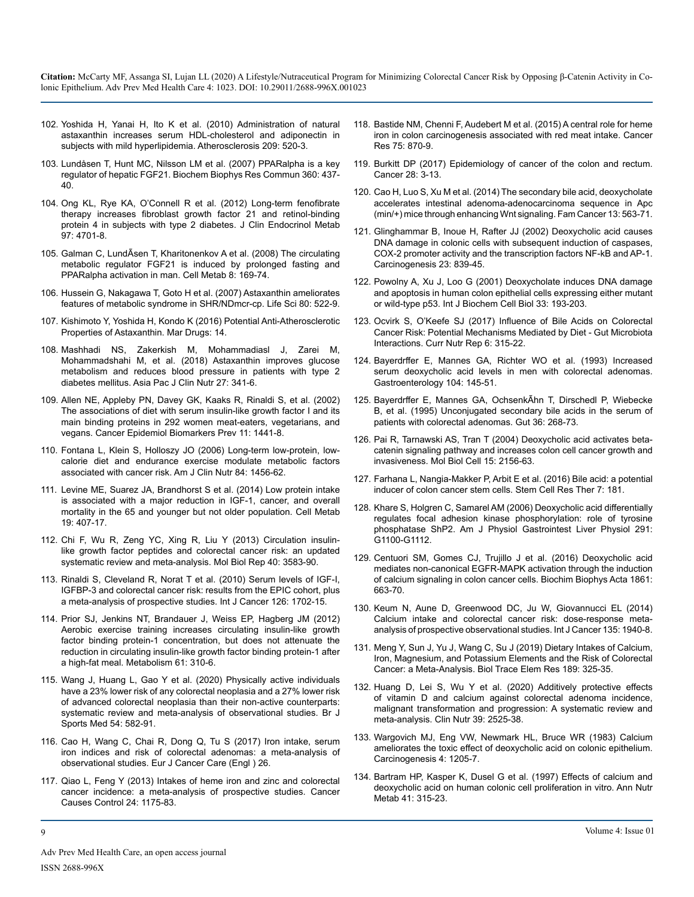- 102. [Yoshida H, Yanai H, Ito K et al. \(2010\) Administration of natural](https://pubmed.ncbi.nlm.nih.gov/19892350/)  [astaxanthin increases serum HDL-cholesterol and adiponectin in](https://pubmed.ncbi.nlm.nih.gov/19892350/)  [subjects with mild hyperlipidemia. Atherosclerosis 209: 520-3.](https://pubmed.ncbi.nlm.nih.gov/19892350/)
- 103. [Lundåsen T, Hunt MC, Nilsson LM et al. \(2007\) PPARalpha is a key](https://pubmed.ncbi.nlm.nih.gov/17601491/)  [regulator of hepatic FGF21. Biochem Biophys Res Commun 360: 437-](https://pubmed.ncbi.nlm.nih.gov/17601491/) [40.](https://pubmed.ncbi.nlm.nih.gov/17601491/)
- 104. [Ong KL, Rye KA, O'Connell R et al. \(2012\) Long-term fenofibrate](https://pubmed.ncbi.nlm.nih.gov/23144467/)  [therapy increases fibroblast growth factor 21 and retinol-binding](https://pubmed.ncbi.nlm.nih.gov/23144467/)  [protein 4 in subjects with type 2 diabetes. J Clin Endocrinol Metab](https://pubmed.ncbi.nlm.nih.gov/23144467/) [97: 4701-8](https://pubmed.ncbi.nlm.nih.gov/23144467/).
- 105. [Galman C, LundÃsen T, Kharitonenkov A et al. \(2008\) The circulating](https://pubmed.ncbi.nlm.nih.gov/18680716/) [metabolic regulator FGF21 is induced by prolonged fasting and](https://pubmed.ncbi.nlm.nih.gov/18680716/)  [PPARalpha activation in man. Cell Metab 8: 169-74.](https://pubmed.ncbi.nlm.nih.gov/18680716/)
- 106. [Hussein G, Nakagawa T, Goto H et al. \(2007\) Astaxanthin ameliorates](https://pubmed.ncbi.nlm.nih.gov/17074368/)  [features of metabolic syndrome in SHR/NDmcr-cp. Life Sci 80: 522-9.](https://pubmed.ncbi.nlm.nih.gov/17074368/)
- 107. [Kishimoto Y, Yoshida H, Kondo K \(2016\) Potential Anti-Atherosclerotic](https://pubmed.ncbi.nlm.nih.gov/26861359/)  [Properties of Astaxanthin. Mar Drugs: 14.](https://pubmed.ncbi.nlm.nih.gov/26861359/)
- 108. [Mashhadi NS, Zakerkish M, Mohammadiasl J, Zarei M,](https://pubmed.ncbi.nlm.nih.gov/29384321/)  [Mohammadshahi M, et al. \(2018\) Astaxanthin improves glucose](https://pubmed.ncbi.nlm.nih.gov/29384321/)  [metabolism and reduces blood pressure in patients with type 2](https://pubmed.ncbi.nlm.nih.gov/29384321/)  [diabetes mellitus. Asia Pac J Clin Nutr 27: 341-6.](https://pubmed.ncbi.nlm.nih.gov/29384321/)
- 109. [Allen NE, Appleby PN, Davey GK, Kaaks R, Rinaldi S, et al. \(2002\)](https://pubmed.ncbi.nlm.nih.gov/12433724/)  [The associations of diet with serum insulin-like growth factor I and its](https://pubmed.ncbi.nlm.nih.gov/12433724/) [main binding proteins in 292 women meat-eaters, vegetarians, and](https://pubmed.ncbi.nlm.nih.gov/12433724/)  [vegans. Cancer Epidemiol Biomarkers Prev 11: 1441-8.](https://pubmed.ncbi.nlm.nih.gov/12433724/)
- 110. [Fontana L, Klein S, Holloszy JO \(2006\) Long-term low-protein, low](https://pubmed.ncbi.nlm.nih.gov/17158430/)[calorie diet and endurance exercise modulate metabolic factors](https://pubmed.ncbi.nlm.nih.gov/17158430/)  [associated with cancer risk. Am J Clin Nutr 84: 1456-62.](https://pubmed.ncbi.nlm.nih.gov/17158430/)
- 111. [Levine ME, Suarez JA, Brandhorst S et al. \(2014\) Low protein intake](https://pubmed.ncbi.nlm.nih.gov/24606898/) [is associated with a major reduction in IGF-1, cancer, and overall](https://pubmed.ncbi.nlm.nih.gov/24606898/)  [mortality in the 65 and younger but not older population. Cell Metab](https://pubmed.ncbi.nlm.nih.gov/24606898/) [19: 407-17.](https://pubmed.ncbi.nlm.nih.gov/24606898/)
- 112. [Chi F, Wu R, Zeng YC, Xing R, Liu Y \(2013\) Circulation insulin](https://pubmed.ncbi.nlm.nih.gov/23269623/)[like growth factor peptides and colorectal cancer risk: an updated](https://pubmed.ncbi.nlm.nih.gov/23269623/)  [systematic review and meta-analysis. Mol Biol Rep 40: 3583-90.](https://pubmed.ncbi.nlm.nih.gov/23269623/)
- 113. [Rinaldi S, Cleveland R, Norat T et al. \(2010\) Serum levels of IGF-I,](https://pubmed.ncbi.nlm.nih.gov/19810099/)  [IGFBP-3 and colorectal cancer risk: results from the EPIC cohort, plus](https://pubmed.ncbi.nlm.nih.gov/19810099/) [a meta-analysis of prospective studies. Int J Cancer 126: 1702-15.](https://pubmed.ncbi.nlm.nih.gov/19810099/)
- 114. [Prior SJ, Jenkins NT, Brandauer J, Weiss EP, Hagberg JM \(2012\)](https://pubmed.ncbi.nlm.nih.gov/21872284/)  [Aerobic exercise training increases circulating insulin-like growth](https://pubmed.ncbi.nlm.nih.gov/21872284/)  [factor binding protein-1 concentration, but does not attenuate the](https://pubmed.ncbi.nlm.nih.gov/21872284/)  [reduction in circulating insulin-like growth factor binding protein-1 after](https://pubmed.ncbi.nlm.nih.gov/21872284/)  [a high-fat meal. Metabolism 61: 310-6.](https://pubmed.ncbi.nlm.nih.gov/21872284/)
- 115. [Wang J, Huang L, Gao Y et al. \(2020\) Physically active individuals](https://pubmed.ncbi.nlm.nih.gov/31296585/)  [have a 23% lower risk of any colorectal neoplasia and a 27% lower risk](https://pubmed.ncbi.nlm.nih.gov/31296585/)  [of advanced colorectal neoplasia than their non-active counterparts:](https://pubmed.ncbi.nlm.nih.gov/31296585/)  [systematic review and meta-analysis of observational studies. Br J](https://pubmed.ncbi.nlm.nih.gov/31296585/)  [Sports Med 54: 582-91.](https://pubmed.ncbi.nlm.nih.gov/31296585/)
- 116. [Cao H, Wang C, Chai R, Dong Q, Tu S \(2017\) Iron intake, serum](https://pubmed.ncbi.nlm.nih.gov/26956572/)  [iron indices and risk of colorectal adenomas: a meta-analysis of](https://pubmed.ncbi.nlm.nih.gov/26956572/)  [observational studies. Eur J Cancer Care \(Engl \) 26.](https://pubmed.ncbi.nlm.nih.gov/26956572/)
- 117. [Qiao L, Feng Y \(2013\) Intakes of heme iron and zinc and colorectal](https://pubmed.ncbi.nlm.nih.gov/23568532/)  [cancer incidence: a meta-analysis of prospective studies. Cancer](https://pubmed.ncbi.nlm.nih.gov/23568532/)  [Causes Control 24: 1175-83.](https://pubmed.ncbi.nlm.nih.gov/23568532/)
- 118. [Bastide NM, Chenni F, Audebert M et al. \(2015\) A central role for heme](https://pubmed.ncbi.nlm.nih.gov/25592152/)  [iron in colon carcinogenesis associated with red meat intake. Cancer](https://pubmed.ncbi.nlm.nih.gov/25592152/)  [Res 75: 870-9.](https://pubmed.ncbi.nlm.nih.gov/25592152/)
- 119. [Burkitt DP \(2017\) Epidemiology of cancer of the colon and rectum.](https://pubmed.ncbi.nlm.nih.gov/5165022/)  [Cancer 28: 3-13.](https://pubmed.ncbi.nlm.nih.gov/5165022/)
- 120. [Cao H, Luo S, Xu M et al. \(2014\) The secondary bile acid, deoxycholate](https://pubmed.ncbi.nlm.nih.gov/25106466/)  [accelerates intestinal adenoma-adenocarcinoma sequence in Apc](https://pubmed.ncbi.nlm.nih.gov/25106466/)  [\(min/+\) mice through enhancing Wnt signaling. Fam Cancer 13: 563-71.](https://pubmed.ncbi.nlm.nih.gov/25106466/)
- 121. [Glinghammar B, Inoue H, Rafter JJ \(2002\) Deoxycholic acid causes](https://pubmed.ncbi.nlm.nih.gov/12016158/)  [DNA damage in colonic cells with subsequent induction of caspases,](https://pubmed.ncbi.nlm.nih.gov/12016158/)  [COX-2 promoter activity and the transcription factors NF-kB and AP-1.](https://pubmed.ncbi.nlm.nih.gov/12016158/) [Carcinogenesis 23: 839-45.](https://pubmed.ncbi.nlm.nih.gov/12016158/)
- 122. [Powolny A, Xu J, Loo G \(2001\) Deoxycholate induces DNA damage](https://pubmed.ncbi.nlm.nih.gov/11240376/)  [and apoptosis in human colon epithelial cells expressing either mutant](https://pubmed.ncbi.nlm.nih.gov/11240376/)  [or wild-type p53. Int J Biochem Cell Biol 33: 193-203.](https://pubmed.ncbi.nlm.nih.gov/11240376/)
- 123. [Ocvirk S, O'Keefe SJ \(2017\) Influence of Bile Acids on Colorectal](https://pubmed.ncbi.nlm.nih.gov/29430336/)  [Cancer Risk: Potential Mechanisms Mediated by Diet - Gut Microbiota](https://pubmed.ncbi.nlm.nih.gov/29430336/)  [Interactions. Curr Nutr Rep 6: 315-22.](https://pubmed.ncbi.nlm.nih.gov/29430336/)
- 124. [Bayerdrffer E, Mannes GA, Richter WO et al. \(1993\) Increased](https://www.gastrojournal.org/article/0016-5085(93)90846-5/pdf#:~:text=Results%3A Deoxycholic acid levels were,L%2C P %3C 0.0025).)  [serum deoxycholic acid levels in men with colorectal adenomas.](https://www.gastrojournal.org/article/0016-5085(93)90846-5/pdf#:~:text=Results%3A Deoxycholic acid levels were,L%2C P %3C 0.0025).)  [Gastroenterology 104: 145-51.](https://www.gastrojournal.org/article/0016-5085(93)90846-5/pdf#:~:text=Results%3A Deoxycholic acid levels were,L%2C P %3C 0.0025).)
- 125. [Bayerdrffer E, Mannes GA, OchsenkÃhn T, Dirschedl P, Wiebecke](https://pubmed.ncbi.nlm.nih.gov/7883228/)  [B, et al. \(1995\) Unconjugated secondary bile acids in the serum of](https://pubmed.ncbi.nlm.nih.gov/7883228/)  [patients with colorectal adenomas. Gut 36: 268-73.](https://pubmed.ncbi.nlm.nih.gov/7883228/)
- 126. [Pai R, Tarnawski AS, Tran T \(2004\) Deoxycholic acid activates beta](https://pubmed.ncbi.nlm.nih.gov/15004225/)[catenin signaling pathway and increases colon cell cancer growth and](https://pubmed.ncbi.nlm.nih.gov/15004225/) [invasiveness. Mol Biol Cell 15: 2156-63.](https://pubmed.ncbi.nlm.nih.gov/15004225/)
- 127. [Farhana L, Nangia-Makker P, Arbit E et al. \(2016\) Bile acid: a potential](https://pubmed.ncbi.nlm.nih.gov/27908290/) [inducer of colon cancer stem cells. Stem Cell Res Ther 7: 181.](https://pubmed.ncbi.nlm.nih.gov/27908290/)
- 128. [Khare S, Holgren C, Samarel AM \(2006\) Deoxycholic acid differentially](https://journals.physiology.org/doi/full/10.1152/ajpgi.00008.2006)  [regulates focal adhesion kinase phosphorylation: role of tyrosine](https://journals.physiology.org/doi/full/10.1152/ajpgi.00008.2006)  [phosphatase ShP2. Am J Physiol Gastrointest Liver Physiol 291:](https://journals.physiology.org/doi/full/10.1152/ajpgi.00008.2006)  [G1100-G1112.](https://journals.physiology.org/doi/full/10.1152/ajpgi.00008.2006)
- 129. [Centuori SM, Gomes CJ, Trujillo J et al. \(2016\) Deoxycholic acid](https://pubmed.ncbi.nlm.nih.gov/27086143/)  [mediates non-canonical EGFR-MAPK activation through the induction](https://pubmed.ncbi.nlm.nih.gov/27086143/)  [of calcium signaling in colon cancer cells. Biochim Biophys Acta 1861:](https://pubmed.ncbi.nlm.nih.gov/27086143/)  [663-70.](https://pubmed.ncbi.nlm.nih.gov/27086143/)
- 130. [Keum N, Aune D, Greenwood DC, Ju W, Giovannucci EL \(2014\)](https://pubmed.ncbi.nlm.nih.gov/24623471/)  [Calcium intake and colorectal cancer risk: dose-response meta](https://pubmed.ncbi.nlm.nih.gov/24623471/)[analysis of prospective observational studies. Int J Cancer 135: 1940-8.](https://pubmed.ncbi.nlm.nih.gov/24623471/)
- 131. [Meng Y, Sun J, Yu J, Wang C, Su J \(2019\) Dietary Intakes of Calcium,](https://pubmed.ncbi.nlm.nih.gov/30171595/) [Iron, Magnesium, and Potassium Elements and the Risk of Colorectal](https://pubmed.ncbi.nlm.nih.gov/30171595/)  [Cancer: a Meta-Analysis. Biol Trace Elem Res 189: 325-35.](https://pubmed.ncbi.nlm.nih.gov/30171595/)
- 132. [Huang D, Lei S, Wu Y et al. \(2020\) Additively protective effects](https://pubmed.ncbi.nlm.nih.gov/31784301/)  [of vitamin D and calcium against colorectal adenoma incidence,](https://pubmed.ncbi.nlm.nih.gov/31784301/)  [malignant transformation and progression: A systematic review and](https://pubmed.ncbi.nlm.nih.gov/31784301/)  [meta-analysis. Clin Nutr 39: 2525-38.](https://pubmed.ncbi.nlm.nih.gov/31784301/)
- 133. [Wargovich MJ, Eng VW, Newmark HL, Bruce WR \(1983\) Calcium](https://pubmed.ncbi.nlm.nih.gov/6883640/)  [ameliorates the toxic effect of deoxycholic acid on colonic epithelium.](https://pubmed.ncbi.nlm.nih.gov/6883640/)  [Carcinogenesis 4: 1205-7.](https://pubmed.ncbi.nlm.nih.gov/6883640/)
- 134. [Bartram HP, Kasper K, Dusel G et al. \(1997\) Effects of calcium and](https://pubmed.ncbi.nlm.nih.gov/9429694/) [deoxycholic acid on human colonic cell proliferation in vitro. Ann Nutr](https://pubmed.ncbi.nlm.nih.gov/9429694/) [Metab 41: 315-23.](https://pubmed.ncbi.nlm.nih.gov/9429694/)